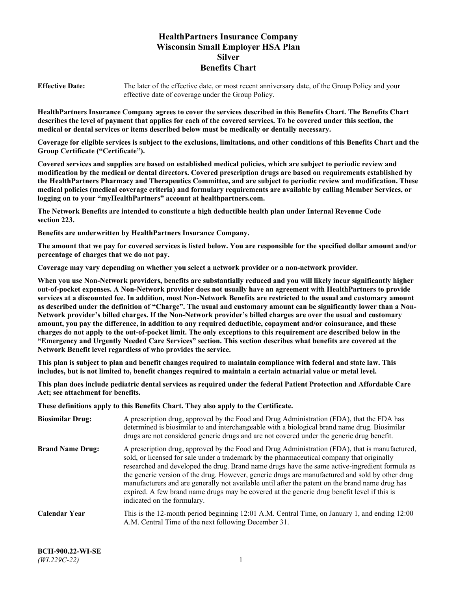# **HealthPartners Insurance Company Wisconsin Small Employer HSA Plan Silver Benefits Chart**

**Effective Date:** The later of the effective date, or most recent anniversary date, of the Group Policy and your effective date of coverage under the Group Policy.

**HealthPartners Insurance Company agrees to cover the services described in this Benefits Chart. The Benefits Chart describes the level of payment that applies for each of the covered services. To be covered under this section, the medical or dental services or items described below must be medically or dentally necessary.**

**Coverage for eligible services is subject to the exclusions, limitations, and other conditions of this Benefits Chart and the Group Certificate ("Certificate").**

**Covered services and supplies are based on established medical policies, which are subject to periodic review and modification by the medical or dental directors. Covered prescription drugs are based on requirements established by the HealthPartners Pharmacy and Therapeutics Committee, and are subject to periodic review and modification. These medical policies (medical coverage criteria) and formulary requirements are available by calling Member Services, or logging on to your "myHealthPartners" account at [healthpartners.com.](https://www.healthpartners.com/hp/index.html)**

**The Network Benefits are intended to constitute a high deductible health plan under Internal Revenue Code section 223.**

**Benefits are underwritten by HealthPartners Insurance Company.**

**The amount that we pay for covered services is listed below. You are responsible for the specified dollar amount and/or percentage of charges that we do not pay.**

**Coverage may vary depending on whether you select a network provider or a non-network provider.**

**When you use Non-Network providers, benefits are substantially reduced and you will likely incur significantly higher out-of-pocket expenses. A Non-Network provider does not usually have an agreement with HealthPartners to provide services at a discounted fee. In addition, most Non-Network Benefits are restricted to the usual and customary amount as described under the definition of "Charge". The usual and customary amount can be significantly lower than a Non-Network provider's billed charges. If the Non-Network provider's billed charges are over the usual and customary amount, you pay the difference, in addition to any required deductible, copayment and/or coinsurance, and these charges do not apply to the out-of-pocket limit. The only exceptions to this requirement are described below in the "Emergency and Urgently Needed Care Services" section. This section describes what benefits are covered at the Network Benefit level regardless of who provides the service.**

**This plan is subject to plan and benefit changes required to maintain compliance with federal and state law. This includes, but is not limited to, benefit changes required to maintain a certain actuarial value or metal level.**

**This plan does include pediatric dental services as required under the federal Patient Protection and Affordable Care Act; see attachment for benefits.**

**These definitions apply to this Benefits Chart. They also apply to the Certificate.**

| <b>Biosimilar Drug:</b> | A prescription drug, approved by the Food and Drug Administration (FDA), that the FDA has<br>determined is biosimilar to and interchangeable with a biological brand name drug. Biosimilar<br>drugs are not considered generic drugs and are not covered under the generic drug benefit.                                                                                                                                                                                                                                                                                                                                           |
|-------------------------|------------------------------------------------------------------------------------------------------------------------------------------------------------------------------------------------------------------------------------------------------------------------------------------------------------------------------------------------------------------------------------------------------------------------------------------------------------------------------------------------------------------------------------------------------------------------------------------------------------------------------------|
| <b>Brand Name Drug:</b> | A prescription drug, approved by the Food and Drug Administration (FDA), that is manufactured,<br>sold, or licensed for sale under a trademark by the pharmaceutical company that originally<br>researched and developed the drug. Brand name drugs have the same active-ingredient formula as<br>the generic version of the drug. However, generic drugs are manufactured and sold by other drug<br>manufacturers and are generally not available until after the patent on the brand name drug has<br>expired. A few brand name drugs may be covered at the generic drug benefit level if this is<br>indicated on the formulary. |
| <b>Calendar Year</b>    | This is the 12-month period beginning 12:01 A.M. Central Time, on January 1, and ending 12:00<br>A.M. Central Time of the next following December 31.                                                                                                                                                                                                                                                                                                                                                                                                                                                                              |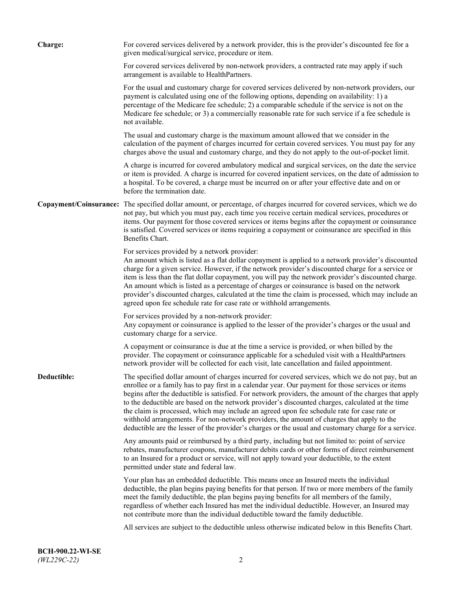| Charge:     | For covered services delivered by a network provider, this is the provider's discounted fee for a<br>given medical/surgical service, procedure or item.                                                                                                                                                                                                                                                                                                                                                                                                                                                                                                                                                                 |
|-------------|-------------------------------------------------------------------------------------------------------------------------------------------------------------------------------------------------------------------------------------------------------------------------------------------------------------------------------------------------------------------------------------------------------------------------------------------------------------------------------------------------------------------------------------------------------------------------------------------------------------------------------------------------------------------------------------------------------------------------|
|             | For covered services delivered by non-network providers, a contracted rate may apply if such<br>arrangement is available to HealthPartners.                                                                                                                                                                                                                                                                                                                                                                                                                                                                                                                                                                             |
|             | For the usual and customary charge for covered services delivered by non-network providers, our<br>payment is calculated using one of the following options, depending on availability: 1) a<br>percentage of the Medicare fee schedule; 2) a comparable schedule if the service is not on the<br>Medicare fee schedule; or 3) a commercially reasonable rate for such service if a fee schedule is<br>not available.                                                                                                                                                                                                                                                                                                   |
|             | The usual and customary charge is the maximum amount allowed that we consider in the<br>calculation of the payment of charges incurred for certain covered services. You must pay for any<br>charges above the usual and customary charge, and they do not apply to the out-of-pocket limit.                                                                                                                                                                                                                                                                                                                                                                                                                            |
|             | A charge is incurred for covered ambulatory medical and surgical services, on the date the service<br>or item is provided. A charge is incurred for covered inpatient services, on the date of admission to<br>a hospital. To be covered, a charge must be incurred on or after your effective date and on or<br>before the termination date.                                                                                                                                                                                                                                                                                                                                                                           |
|             | Copayment/Coinsurance: The specified dollar amount, or percentage, of charges incurred for covered services, which we do<br>not pay, but which you must pay, each time you receive certain medical services, procedures or<br>items. Our payment for those covered services or items begins after the copayment or coinsurance<br>is satisfied. Covered services or items requiring a copayment or coinsurance are specified in this<br>Benefits Chart.                                                                                                                                                                                                                                                                 |
|             | For services provided by a network provider:<br>An amount which is listed as a flat dollar copayment is applied to a network provider's discounted<br>charge for a given service. However, if the network provider's discounted charge for a service or<br>item is less than the flat dollar copayment, you will pay the network provider's discounted charge.<br>An amount which is listed as a percentage of charges or coinsurance is based on the network<br>provider's discounted charges, calculated at the time the claim is processed, which may include an<br>agreed upon fee schedule rate for case rate or withhold arrangements.                                                                            |
|             | For services provided by a non-network provider:<br>Any copayment or coinsurance is applied to the lesser of the provider's charges or the usual and<br>customary charge for a service.                                                                                                                                                                                                                                                                                                                                                                                                                                                                                                                                 |
|             | A copayment or coinsurance is due at the time a service is provided, or when billed by the<br>provider. The copayment or coinsurance applicable for a scheduled visit with a HealthPartners<br>network provider will be collected for each visit, late cancellation and failed appointment.                                                                                                                                                                                                                                                                                                                                                                                                                             |
| Deductible: | The specified dollar amount of charges incurred for covered services, which we do not pay, but an<br>enrollee or a family has to pay first in a calendar year. Our payment for those services or items<br>begins after the deductible is satisfied. For network providers, the amount of the charges that apply<br>to the deductible are based on the network provider's discounted charges, calculated at the time<br>the claim is processed, which may include an agreed upon fee schedule rate for case rate or<br>withhold arrangements. For non-network providers, the amount of charges that apply to the<br>deductible are the lesser of the provider's charges or the usual and customary charge for a service. |
|             | Any amounts paid or reimbursed by a third party, including but not limited to: point of service<br>rebates, manufacturer coupons, manufacturer debits cards or other forms of direct reimbursement<br>to an Insured for a product or service, will not apply toward your deductible, to the extent<br>permitted under state and federal law.                                                                                                                                                                                                                                                                                                                                                                            |
|             | Your plan has an embedded deductible. This means once an Insured meets the individual<br>deductible, the plan begins paying benefits for that person. If two or more members of the family<br>meet the family deductible, the plan begins paying benefits for all members of the family,<br>regardless of whether each Insured has met the individual deductible. However, an Insured may<br>not contribute more than the individual deductible toward the family deductible.                                                                                                                                                                                                                                           |
|             | All services are subject to the deductible unless otherwise indicated below in this Benefits Chart.                                                                                                                                                                                                                                                                                                                                                                                                                                                                                                                                                                                                                     |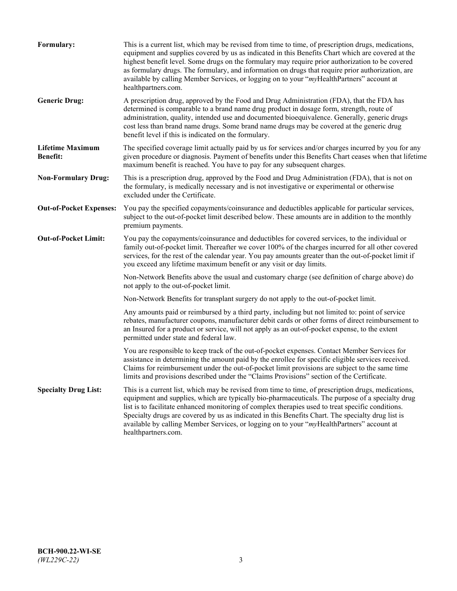| Formulary:                                 | This is a current list, which may be revised from time to time, of prescription drugs, medications,<br>equipment and supplies covered by us as indicated in this Benefits Chart which are covered at the<br>highest benefit level. Some drugs on the formulary may require prior authorization to be covered<br>as formulary drugs. The formulary, and information on drugs that require prior authorization, are<br>available by calling Member Services, or logging on to your "myHealthPartners" account at<br>healthpartners.com. |
|--------------------------------------------|---------------------------------------------------------------------------------------------------------------------------------------------------------------------------------------------------------------------------------------------------------------------------------------------------------------------------------------------------------------------------------------------------------------------------------------------------------------------------------------------------------------------------------------|
| <b>Generic Drug:</b>                       | A prescription drug, approved by the Food and Drug Administration (FDA), that the FDA has<br>determined is comparable to a brand name drug product in dosage form, strength, route of<br>administration, quality, intended use and documented bioequivalence. Generally, generic drugs<br>cost less than brand name drugs. Some brand name drugs may be covered at the generic drug<br>benefit level if this is indicated on the formulary.                                                                                           |
| <b>Lifetime Maximum</b><br><b>Benefit:</b> | The specified coverage limit actually paid by us for services and/or charges incurred by you for any<br>given procedure or diagnosis. Payment of benefits under this Benefits Chart ceases when that lifetime<br>maximum benefit is reached. You have to pay for any subsequent charges.                                                                                                                                                                                                                                              |
| <b>Non-Formulary Drug:</b>                 | This is a prescription drug, approved by the Food and Drug Administration (FDA), that is not on<br>the formulary, is medically necessary and is not investigative or experimental or otherwise<br>excluded under the Certificate.                                                                                                                                                                                                                                                                                                     |
| <b>Out-of-Pocket Expenses:</b>             | You pay the specified copayments/coinsurance and deductibles applicable for particular services,<br>subject to the out-of-pocket limit described below. These amounts are in addition to the monthly<br>premium payments.                                                                                                                                                                                                                                                                                                             |
| <b>Out-of-Pocket Limit:</b>                | You pay the copayments/coinsurance and deductibles for covered services, to the individual or<br>family out-of-pocket limit. Thereafter we cover 100% of the charges incurred for all other covered<br>services, for the rest of the calendar year. You pay amounts greater than the out-of-pocket limit if<br>you exceed any lifetime maximum benefit or any visit or day limits.                                                                                                                                                    |
|                                            | Non-Network Benefits above the usual and customary charge (see definition of charge above) do<br>not apply to the out-of-pocket limit.                                                                                                                                                                                                                                                                                                                                                                                                |
|                                            | Non-Network Benefits for transplant surgery do not apply to the out-of-pocket limit.                                                                                                                                                                                                                                                                                                                                                                                                                                                  |
|                                            | Any amounts paid or reimbursed by a third party, including but not limited to: point of service<br>rebates, manufacturer coupons, manufacturer debit cards or other forms of direct reimbursement to<br>an Insured for a product or service, will not apply as an out-of-pocket expense, to the extent<br>permitted under state and federal law.                                                                                                                                                                                      |
|                                            | You are responsible to keep track of the out-of-pocket expenses. Contact Member Services for<br>assistance in determining the amount paid by the enrollee for specific eligible services received.<br>Claims for reimbursement under the out-of-pocket limit provisions are subject to the same time<br>limits and provisions described under the "Claims Provisions" section of the Certificate.                                                                                                                                     |
| <b>Specialty Drug List:</b>                | This is a current list, which may be revised from time to time, of prescription drugs, medications,<br>equipment and supplies, which are typically bio-pharmaceuticals. The purpose of a specialty drug<br>list is to facilitate enhanced monitoring of complex therapies used to treat specific conditions.<br>Specialty drugs are covered by us as indicated in this Benefits Chart. The specialty drug list is<br>available by calling Member Services, or logging on to your "myHealthPartners" account at<br>healthpartners.com. |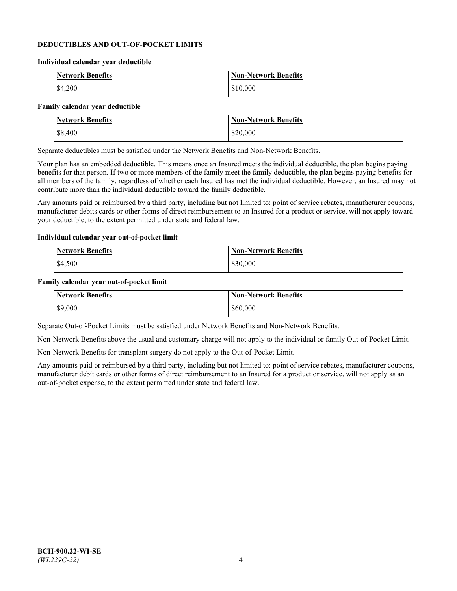### **DEDUCTIBLES AND OUT-OF-POCKET LIMITS**

#### **Individual calendar year deductible**

| <b>Network Benefits</b> | <b>Non-Network Benefits</b> |
|-------------------------|-----------------------------|
| \$4,200                 | \$10,000                    |

#### **Family calendar year deductible**

| <b>Network Benefits</b> | <b>Non-Network Benefits</b> |
|-------------------------|-----------------------------|
| \$8,400                 | \$20,000                    |

Separate deductibles must be satisfied under the Network Benefits and Non-Network Benefits.

Your plan has an embedded deductible. This means once an Insured meets the individual deductible, the plan begins paying benefits for that person. If two or more members of the family meet the family deductible, the plan begins paying benefits for all members of the family, regardless of whether each Insured has met the individual deductible. However, an Insured may not contribute more than the individual deductible toward the family deductible.

Any amounts paid or reimbursed by a third party, including but not limited to: point of service rebates, manufacturer coupons, manufacturer debits cards or other forms of direct reimbursement to an Insured for a product or service, will not apply toward your deductible, to the extent permitted under state and federal law.

#### **Individual calendar year out-of-pocket limit**

| Network Benefits | <b>Non-Network Benefits</b> |
|------------------|-----------------------------|
| \$4,500          | \$30,000                    |

#### **Family calendar year out-of-pocket limit**

| <b>Network Benefits</b> | <b>Non-Network Benefits</b> |
|-------------------------|-----------------------------|
| \$9,000                 | \$60,000                    |

Separate Out-of-Pocket Limits must be satisfied under Network Benefits and Non-Network Benefits.

Non-Network Benefits above the usual and customary charge will not apply to the individual or family Out-of-Pocket Limit.

Non-Network Benefits for transplant surgery do not apply to the Out-of-Pocket Limit.

Any amounts paid or reimbursed by a third party, including but not limited to: point of service rebates, manufacturer coupons, manufacturer debit cards or other forms of direct reimbursement to an Insured for a product or service, will not apply as an out-of-pocket expense, to the extent permitted under state and federal law.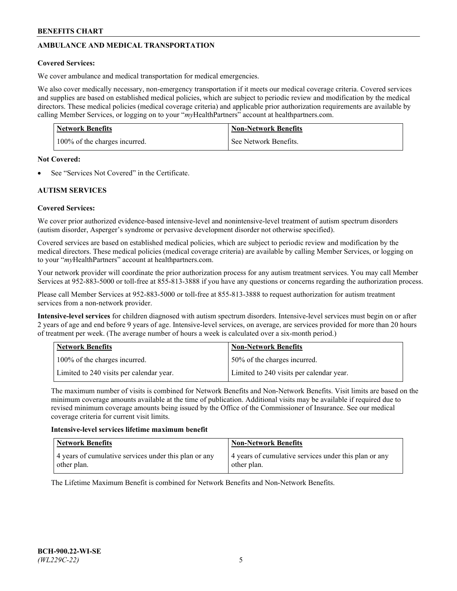# **AMBULANCE AND MEDICAL TRANSPORTATION**

# **Covered Services:**

We cover ambulance and medical transportation for medical emergencies.

We also cover medically necessary, non-emergency transportation if it meets our medical coverage criteria. Covered services and supplies are based on established medical policies, which are subject to periodic review and modification by the medical directors. These medical policies (medical coverage criteria) and applicable prior authorization requirements are available by calling Member Services, or logging on to your "*my*HealthPartners" account a[t healthpartners.com.](https://www.healthpartners.com/hp/index.html)

| <b>Network Benefits</b>       | <b>Non-Network Benefits</b> |
|-------------------------------|-----------------------------|
| 100% of the charges incurred. | See Network Benefits.       |

## **Not Covered:**

See "Services Not Covered" in the Certificate.

# **AUTISM SERVICES**

# **Covered Services:**

We cover prior authorized evidence-based intensive-level and nonintensive-level treatment of autism spectrum disorders (autism disorder, Asperger's syndrome or pervasive development disorder not otherwise specified).

Covered services are based on established medical policies, which are subject to periodic review and modification by the medical directors. These medical policies (medical coverage criteria) are available by calling Member Services, or logging on to your "*my*HealthPartners" account at [healthpartners.com.](https://www.healthpartners.com/hp/index.html)

Your network provider will coordinate the prior authorization process for any autism treatment services. You may call Member Services at 952-883-5000 or toll-free at 855-813-3888 if you have any questions or concerns regarding the authorization process.

Please call Member Services at 952-883-5000 or toll-free at 855-813-3888 to request authorization for autism treatment services from a non-network provider.

**Intensive-level services** for children diagnosed with autism spectrum disorders. Intensive-level services must begin on or after 2 years of age and end before 9 years of age. Intensive-level services, on average, are services provided for more than 20 hours of treatment per week. (The average number of hours a week is calculated over a six-month period.)

| Network Benefits                         | <b>Non-Network Benefits</b>              |
|------------------------------------------|------------------------------------------|
| 100% of the charges incurred.            | 50% of the charges incurred.             |
| Limited to 240 visits per calendar year. | Limited to 240 visits per calendar year. |

The maximum number of visits is combined for Network Benefits and Non-Network Benefits. Visit limits are based on the minimum coverage amounts available at the time of publication. Additional visits may be available if required due to revised minimum coverage amounts being issued by the Office of the Commissioner of Insurance. See our medical coverage criteria for current visit limits.

## **Intensive-level services lifetime maximum benefit**

| Network Benefits                                                     | <b>Non-Network Benefits</b>                                          |
|----------------------------------------------------------------------|----------------------------------------------------------------------|
| 4 years of cumulative services under this plan or any<br>other plan. | 4 years of cumulative services under this plan or any<br>other plan. |

The Lifetime Maximum Benefit is combined for Network Benefits and Non-Network Benefits.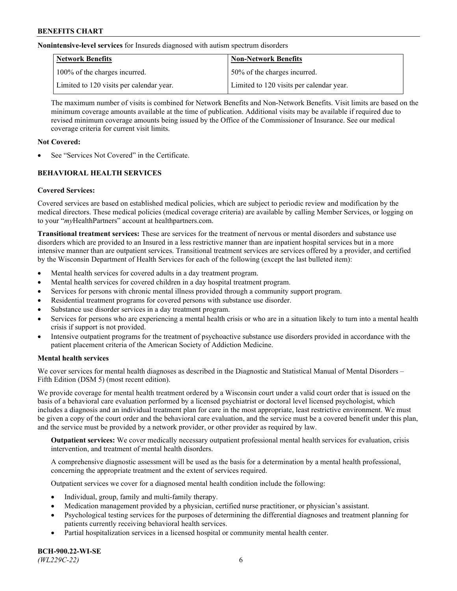**Nonintensive-level services** for Insureds diagnosed with autism spectrum disorders

| Network Benefits                         | <b>Non-Network Benefits</b>              |
|------------------------------------------|------------------------------------------|
| 100% of the charges incurred.            | 50% of the charges incurred.             |
| Limited to 120 visits per calendar year. | Limited to 120 visits per calendar year. |

The maximum number of visits is combined for Network Benefits and Non-Network Benefits. Visit limits are based on the minimum coverage amounts available at the time of publication. Additional visits may be available if required due to revised minimum coverage amounts being issued by the Office of the Commissioner of Insurance. See our medical coverage criteria for current visit limits.

# **Not Covered:**

See "Services Not Covered" in the Certificate.

# **BEHAVIORAL HEALTH SERVICES**

## **Covered Services:**

Covered services are based on established medical policies, which are subject to periodic review and modification by the medical directors. These medical policies (medical coverage criteria) are available by calling Member Services, or logging on to your "*my*HealthPartners" account at [healthpartners.com.](https://www.healthpartners.com/hp/index.html)

**Transitional treatment services:** These are services for the treatment of nervous or mental disorders and substance use disorders which are provided to an Insured in a less restrictive manner than are inpatient hospital services but in a more intensive manner than are outpatient services. Transitional treatment services are services offered by a provider, and certified by the Wisconsin Department of Health Services for each of the following (except the last bulleted item):

- Mental health services for covered adults in a day treatment program.
- Mental health services for covered children in a day hospital treatment program.
- Services for persons with chronic mental illness provided through a community support program.
- Residential treatment programs for covered persons with substance use disorder.
- Substance use disorder services in a day treatment program.
- Services for persons who are experiencing a mental health crisis or who are in a situation likely to turn into a mental health crisis if support is not provided.
- Intensive outpatient programs for the treatment of psychoactive substance use disorders provided in accordance with the patient placement criteria of the American Society of Addiction Medicine.

## **Mental health services**

We cover services for mental health diagnoses as described in the Diagnostic and Statistical Manual of Mental Disorders – Fifth Edition (DSM 5) (most recent edition).

We provide coverage for mental health treatment ordered by a Wisconsin court under a valid court order that is issued on the basis of a behavioral care evaluation performed by a licensed psychiatrist or doctoral level licensed psychologist, which includes a diagnosis and an individual treatment plan for care in the most appropriate, least restrictive environment. We must be given a copy of the court order and the behavioral care evaluation, and the service must be a covered benefit under this plan, and the service must be provided by a network provider, or other provider as required by law.

**Outpatient services:** We cover medically necessary outpatient professional mental health services for evaluation, crisis intervention, and treatment of mental health disorders.

A comprehensive diagnostic assessment will be used as the basis for a determination by a mental health professional, concerning the appropriate treatment and the extent of services required.

Outpatient services we cover for a diagnosed mental health condition include the following:

- Individual, group, family and multi-family therapy.
- Medication management provided by a physician, certified nurse practitioner, or physician's assistant.
- Psychological testing services for the purposes of determining the differential diagnoses and treatment planning for patients currently receiving behavioral health services.
- Partial hospitalization services in a licensed hospital or community mental health center.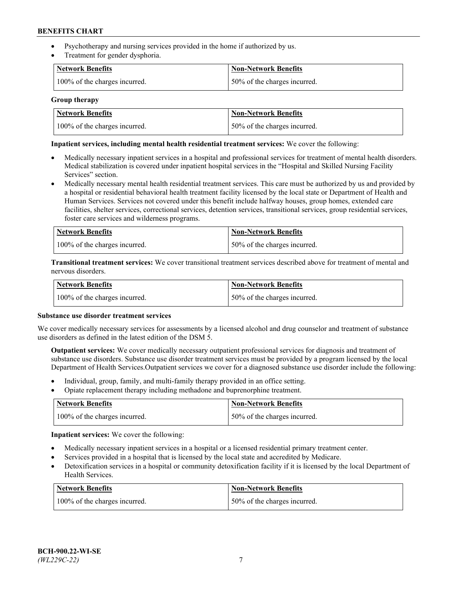- Psychotherapy and nursing services provided in the home if authorized by us.
- Treatment for gender dysphoria.

| <b>Network Benefits</b>       | <b>Non-Network Benefits</b>  |
|-------------------------------|------------------------------|
| 100% of the charges incurred. | 50% of the charges incurred. |

### **Group therapy**

| Network Benefits              | Non-Network Benefits          |
|-------------------------------|-------------------------------|
| 100% of the charges incurred. | 150% of the charges incurred. |

### **Inpatient services, including mental health residential treatment services:** We cover the following:

- Medically necessary inpatient services in a hospital and professional services for treatment of mental health disorders. Medical stabilization is covered under inpatient hospital services in the "Hospital and Skilled Nursing Facility Services" section.
- Medically necessary mental health residential treatment services. This care must be authorized by us and provided by a hospital or residential behavioral health treatment facility licensed by the local state or Department of Health and Human Services. Services not covered under this benefit include halfway houses, group homes, extended care facilities, shelter services, correctional services, detention services, transitional services, group residential services, foster care services and wilderness programs.

| <b>Network Benefits</b>       | Non-Network Benefits         |
|-------------------------------|------------------------------|
| 100% of the charges incurred. | 50% of the charges incurred. |

**Transitional treatment services:** We cover transitional treatment services described above for treatment of mental and nervous disorders.

| <b>Network Benefits</b>       | <b>Non-Network Benefits</b>  |
|-------------------------------|------------------------------|
| 100% of the charges incurred. | 50% of the charges incurred. |

#### **Substance use disorder treatment services**

We cover medically necessary services for assessments by a licensed alcohol and drug counselor and treatment of substance use disorders as defined in the latest edition of the DSM 5.

**Outpatient services:** We cover medically necessary outpatient professional services for diagnosis and treatment of substance use disorders. Substance use disorder treatment services must be provided by a program licensed by the local Department of Health Services.Outpatient services we cover for a diagnosed substance use disorder include the following:

- Individual, group, family, and multi-family therapy provided in an office setting.
- Opiate replacement therapy including methadone and buprenorphine treatment.

| Network Benefits              | Non-Network Benefits         |
|-------------------------------|------------------------------|
| 100% of the charges incurred. | 50% of the charges incurred. |

**Inpatient services:** We cover the following:

- Medically necessary inpatient services in a hospital or a licensed residential primary treatment center.
- Services provided in a hospital that is licensed by the local state and accredited by Medicare.
- Detoxification services in a hospital or community detoxification facility if it is licensed by the local Department of Health Services.

| Network Benefits              | <b>Non-Network Benefits</b>  |
|-------------------------------|------------------------------|
| 100% of the charges incurred. | 50% of the charges incurred. |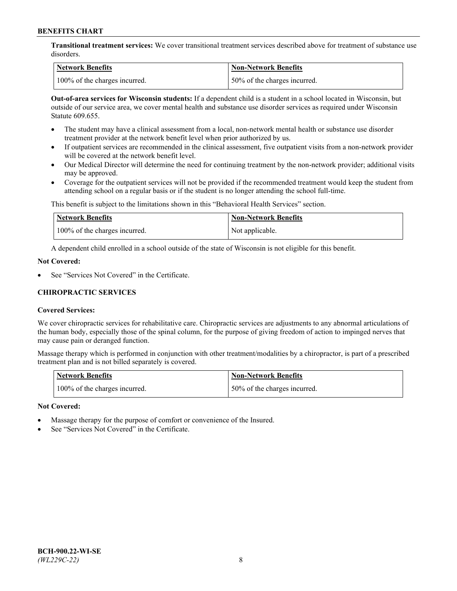**Transitional treatment services:** We cover transitional treatment services described above for treatment of substance use disorders.

| Network Benefits              | <b>Non-Network Benefits</b>   |
|-------------------------------|-------------------------------|
| 100% of the charges incurred. | 150% of the charges incurred. |

**Out-of-area services for Wisconsin students:** If a dependent child is a student in a school located in Wisconsin, but outside of our service area, we cover mental health and substance use disorder services as required under Wisconsin Statute 609.655.

- The student may have a clinical assessment from a local, non-network mental health or substance use disorder treatment provider at the network benefit level when prior authorized by us.
- If outpatient services are recommended in the clinical assessment, five outpatient visits from a non-network provider will be covered at the network benefit level.
- Our Medical Director will determine the need for continuing treatment by the non-network provider; additional visits may be approved.
- Coverage for the outpatient services will not be provided if the recommended treatment would keep the student from attending school on a regular basis or if the student is no longer attending the school full-time.

This benefit is subject to the limitations shown in this "Behavioral Health Services" section.

| Network Benefits              | Non-Network Benefits |
|-------------------------------|----------------------|
| 100% of the charges incurred. | Not applicable.      |

A dependent child enrolled in a school outside of the state of Wisconsin is not eligible for this benefit.

### **Not Covered:**

See "Services Not Covered" in the Certificate.

# **CHIROPRACTIC SERVICES**

## **Covered Services:**

We cover chiropractic services for rehabilitative care. Chiropractic services are adjustments to any abnormal articulations of the human body, especially those of the spinal column, for the purpose of giving freedom of action to impinged nerves that may cause pain or deranged function.

Massage therapy which is performed in conjunction with other treatment/modalities by a chiropractor, is part of a prescribed treatment plan and is not billed separately is covered.

| Network Benefits              | <b>Non-Network Benefits</b>   |
|-------------------------------|-------------------------------|
| 100% of the charges incurred. | 150% of the charges incurred. |

#### **Not Covered:**

- Massage therapy for the purpose of comfort or convenience of the Insured.
- See "Services Not Covered" in the Certificate.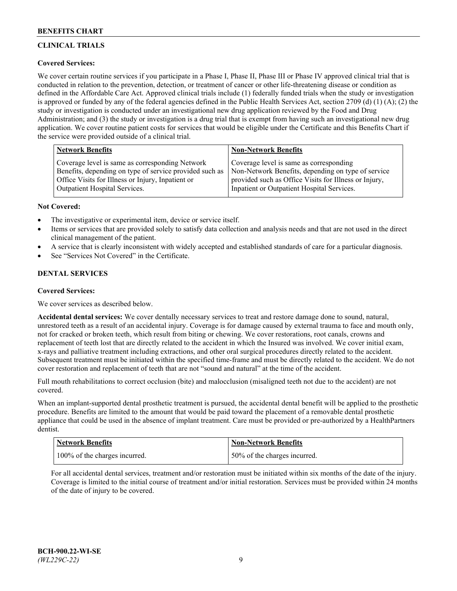# **CLINICAL TRIALS**

# **Covered Services:**

We cover certain routine services if you participate in a Phase I, Phase II, Phase III or Phase IV approved clinical trial that is conducted in relation to the prevention, detection, or treatment of cancer or other life-threatening disease or condition as defined in the Affordable Care Act. Approved clinical trials include (1) federally funded trials when the study or investigation is approved or funded by any of the federal agencies defined in the Public Health Services Act, section 2709 (d) (1) (A); (2) the study or investigation is conducted under an investigational new drug application reviewed by the Food and Drug Administration; and (3) the study or investigation is a drug trial that is exempt from having such an investigational new drug application. We cover routine patient costs for services that would be eligible under the Certificate and this Benefits Chart if the service were provided outside of a clinical trial.

| <b>Network Benefits</b>                                 | <b>Non-Network Benefits</b>                           |
|---------------------------------------------------------|-------------------------------------------------------|
| Coverage level is same as corresponding Network         | Coverage level is same as corresponding               |
| Benefits, depending on type of service provided such as | Non-Network Benefits, depending on type of service    |
| Office Visits for Illness or Injury, Inpatient or       | provided such as Office Visits for Illness or Injury, |
| Outpatient Hospital Services.                           | Inpatient or Outpatient Hospital Services.            |

## **Not Covered:**

- The investigative or experimental item, device or service itself.
- Items or services that are provided solely to satisfy data collection and analysis needs and that are not used in the direct clinical management of the patient.
- A service that is clearly inconsistent with widely accepted and established standards of care for a particular diagnosis.
- See "Services Not Covered" in the Certificate.

# **DENTAL SERVICES**

## **Covered Services:**

We cover services as described below.

**Accidental dental services:** We cover dentally necessary services to treat and restore damage done to sound, natural, unrestored teeth as a result of an accidental injury. Coverage is for damage caused by external trauma to face and mouth only, not for cracked or broken teeth, which result from biting or chewing. We cover restorations, root canals, crowns and replacement of teeth lost that are directly related to the accident in which the Insured was involved. We cover initial exam, x-rays and palliative treatment including extractions, and other oral surgical procedures directly related to the accident. Subsequent treatment must be initiated within the specified time-frame and must be directly related to the accident. We do not cover restoration and replacement of teeth that are not "sound and natural" at the time of the accident.

Full mouth rehabilitations to correct occlusion (bite) and malocclusion (misaligned teeth not due to the accident) are not covered.

When an implant-supported dental prosthetic treatment is pursued, the accidental dental benefit will be applied to the prosthetic procedure. Benefits are limited to the amount that would be paid toward the placement of a removable dental prosthetic appliance that could be used in the absence of implant treatment. Care must be provided or pre-authorized by a HealthPartners dentist.

| <b>Network Benefits</b>       | <b>Non-Network Benefits</b>  |
|-------------------------------|------------------------------|
| 100% of the charges incurred. | 50% of the charges incurred. |

For all accidental dental services, treatment and/or restoration must be initiated within six months of the date of the injury. Coverage is limited to the initial course of treatment and/or initial restoration. Services must be provided within 24 months of the date of injury to be covered.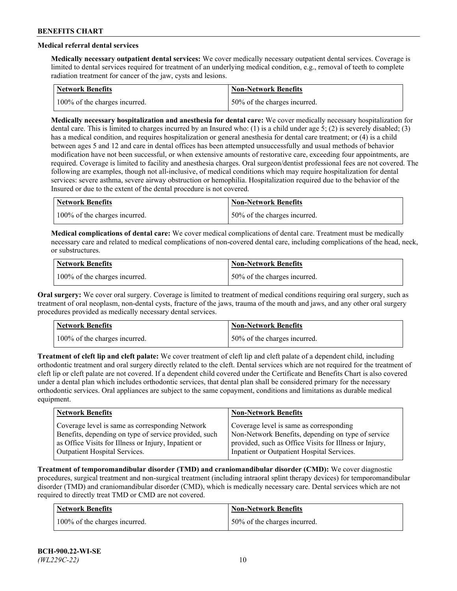# **Medical referral dental services**

**Medically necessary outpatient dental services:** We cover medically necessary outpatient dental services. Coverage is limited to dental services required for treatment of an underlying medical condition, e.g., removal of teeth to complete radiation treatment for cancer of the jaw, cysts and lesions.

| Network Benefits              | <b>Non-Network Benefits</b>  |
|-------------------------------|------------------------------|
| 100% of the charges incurred. | 50% of the charges incurred. |

**Medically necessary hospitalization and anesthesia for dental care:** We cover medically necessary hospitalization for dental care. This is limited to charges incurred by an Insured who: (1) is a child under age 5; (2) is severely disabled; (3) has a medical condition, and requires hospitalization or general anesthesia for dental care treatment; or (4) is a child between ages 5 and 12 and care in dental offices has been attempted unsuccessfully and usual methods of behavior modification have not been successful, or when extensive amounts of restorative care, exceeding four appointments, are required. Coverage is limited to facility and anesthesia charges. Oral surgeon/dentist professional fees are not covered. The following are examples, though not all-inclusive, of medical conditions which may require hospitalization for dental services: severe asthma, severe airway obstruction or hemophilia. Hospitalization required due to the behavior of the Insured or due to the extent of the dental procedure is not covered.

| Network Benefits              | <b>Non-Network Benefits</b>  |
|-------------------------------|------------------------------|
| 100% of the charges incurred. | 50% of the charges incurred. |

**Medical complications of dental care:** We cover medical complications of dental care. Treatment must be medically necessary care and related to medical complications of non-covered dental care, including complications of the head, neck, or substructures.

| Network Benefits              | Non-Network Benefits         |
|-------------------------------|------------------------------|
| 100% of the charges incurred. | 50% of the charges incurred. |

**Oral surgery:** We cover oral surgery. Coverage is limited to treatment of medical conditions requiring oral surgery, such as treatment of oral neoplasm, non-dental cysts, fracture of the jaws, trauma of the mouth and jaws, and any other oral surgery procedures provided as medically necessary dental services.

| <b>Network Benefits</b>       | <b>Non-Network Benefits</b>   |
|-------------------------------|-------------------------------|
| 100% of the charges incurred. | 150% of the charges incurred. |

**Treatment of cleft lip and cleft palate:** We cover treatment of cleft lip and cleft palate of a dependent child, including orthodontic treatment and oral surgery directly related to the cleft. Dental services which are not required for the treatment of cleft lip or cleft palate are not covered. If a dependent child covered under the Certificate and Benefits Chart is also covered under a dental plan which includes orthodontic services, that dental plan shall be considered primary for the necessary orthodontic services. Oral appliances are subject to the same copayment, conditions and limitations as durable medical equipment.

| <b>Network Benefits</b>                               | <b>Non-Network Benefits</b>                            |
|-------------------------------------------------------|--------------------------------------------------------|
| Coverage level is same as corresponding Network       | Coverage level is same as corresponding                |
| Benefits, depending on type of service provided, such | Non-Network Benefits, depending on type of service     |
| as Office Visits for Illness or Injury, Inpatient or  | provided, such as Office Visits for Illness or Injury, |
| Outpatient Hospital Services.                         | Inpatient or Outpatient Hospital Services.             |

**Treatment of temporomandibular disorder (TMD) and craniomandibular disorder (CMD):** We cover diagnostic procedures, surgical treatment and non-surgical treatment (including intraoral splint therapy devices) for temporomandibular disorder (TMD) and craniomandibular disorder (CMD), which is medically necessary care. Dental services which are not required to directly treat TMD or CMD are not covered.

| <b>Network Benefits</b>       | <b>Non-Network Benefits</b>   |
|-------------------------------|-------------------------------|
| 100% of the charges incurred. | 150% of the charges incurred. |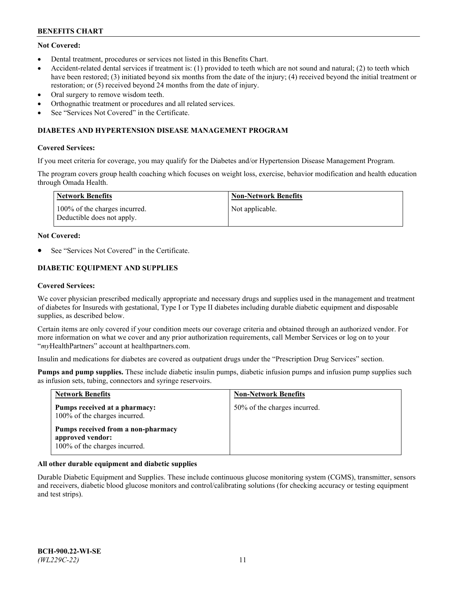# **Not Covered:**

- Dental treatment, procedures or services not listed in this Benefits Chart.
- Accident-related dental services if treatment is: (1) provided to teeth which are not sound and natural; (2) to teeth which have been restored; (3) initiated beyond six months from the date of the injury; (4) received beyond the initial treatment or restoration; or (5) received beyond 24 months from the date of injury.
- Oral surgery to remove wisdom teeth.
- Orthognathic treatment or procedures and all related services.
- See "Services Not Covered" in the Certificate.

### **DIABETES AND HYPERTENSION DISEASE MANAGEMENT PROGRAM**

### **Covered Services:**

If you meet criteria for coverage, you may qualify for the Diabetes and/or Hypertension Disease Management Program.

The program covers group health coaching which focuses on weight loss, exercise, behavior modification and health education through Omada Health.

| Network Benefits                                            | Non-Network Benefits |
|-------------------------------------------------------------|----------------------|
| 100% of the charges incurred.<br>Deductible does not apply. | Not applicable.      |

#### **Not Covered:**

See "Services Not Covered" in the Certificate.

# **DIABETIC EQUIPMENT AND SUPPLIES**

### **Covered Services:**

We cover physician prescribed medically appropriate and necessary drugs and supplies used in the management and treatment of diabetes for Insureds with gestational, Type I or Type II diabetes including durable diabetic equipment and disposable supplies, as described below.

Certain items are only covered if your condition meets our coverage criteria and obtained through an authorized vendor. For more information on what we cover and any prior authorization requirements, call Member Services or log on to your "*my*HealthPartners" account at [healthpartners.com.](http://www.healthpartners.com/)

Insulin and medications for diabetes are covered as outpatient drugs under the "Prescription Drug Services" section.

**Pumps and pump supplies.** These include diabetic insulin pumps, diabetic infusion pumps and infusion pump supplies such as infusion sets, tubing, connectors and syringe reservoirs.

| <b>Network Benefits</b>                                                                 | <b>Non-Network Benefits</b>  |
|-----------------------------------------------------------------------------------------|------------------------------|
| Pumps received at a pharmacy:<br>100% of the charges incurred.                          | 50% of the charges incurred. |
| Pumps received from a non-pharmacy<br>approved vendor:<br>100% of the charges incurred. |                              |

## **All other durable equipment and diabetic supplies**

Durable Diabetic Equipment and Supplies. These include continuous glucose monitoring system (CGMS), transmitter, sensors and receivers, diabetic blood glucose monitors and control/calibrating solutions (for checking accuracy or testing equipment and test strips).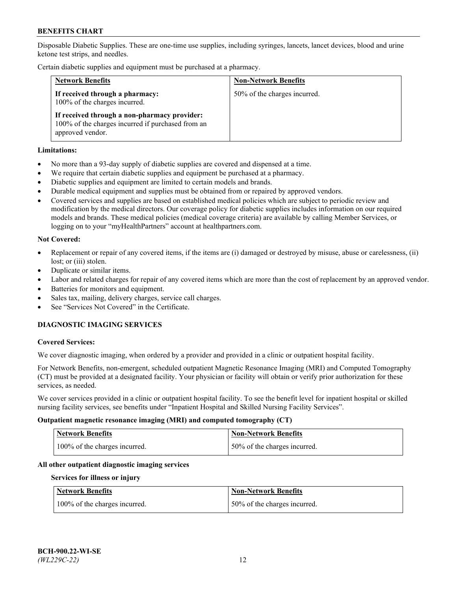Disposable Diabetic Supplies. These are one-time use supplies, including syringes, lancets, lancet devices, blood and urine ketone test strips, and needles.

Certain diabetic supplies and equipment must be purchased at a pharmacy.

| <b>Network Benefits</b>                                                                                               | <b>Non-Network Benefits</b>  |
|-----------------------------------------------------------------------------------------------------------------------|------------------------------|
| If received through a pharmacy:<br>100% of the charges incurred.                                                      | 50% of the charges incurred. |
| If received through a non-pharmacy provider:<br>100% of the charges incurred if purchased from an<br>approved vendor. |                              |

### **Limitations:**

- No more than a 93-day supply of diabetic supplies are covered and dispensed at a time.
- We require that certain diabetic supplies and equipment be purchased at a pharmacy.
- Diabetic supplies and equipment are limited to certain models and brands.
- Durable medical equipment and supplies must be obtained from or repaired by approved vendors.
- Covered services and supplies are based on established medical policies which are subject to periodic review and modification by the medical directors. Our coverage policy for diabetic supplies includes information on our required models and brands. These medical policies (medical coverage criteria) are available by calling Member Services, or logging on to your "myHealthPartners" account at [healthpartners.com.](http://www.healthpartners.com/)

### **Not Covered:**

- Replacement or repair of any covered items, if the items are (i) damaged or destroyed by misuse, abuse or carelessness, (ii) lost; or (iii) stolen.
- Duplicate or similar items.
- Labor and related charges for repair of any covered items which are more than the cost of replacement by an approved vendor.
- Batteries for monitors and equipment.
- Sales tax, mailing, delivery charges, service call charges.
- See "Services Not Covered" in the Certificate.

# **DIAGNOSTIC IMAGING SERVICES**

#### **Covered Services:**

We cover diagnostic imaging, when ordered by a provider and provided in a clinic or outpatient hospital facility.

For Network Benefits, non-emergent, scheduled outpatient Magnetic Resonance Imaging (MRI) and Computed Tomography (CT) must be provided at a designated facility. Your physician or facility will obtain or verify prior authorization for these services, as needed.

We cover services provided in a clinic or outpatient hospital facility. To see the benefit level for inpatient hospital or skilled nursing facility services, see benefits under "Inpatient Hospital and Skilled Nursing Facility Services".

#### **Outpatient magnetic resonance imaging (MRI) and computed tomography (CT)**

| <b>Network Benefits</b>       | <b>Non-Network Benefits</b>  |
|-------------------------------|------------------------------|
| 100% of the charges incurred. | 50% of the charges incurred. |

#### **All other outpatient diagnostic imaging services**

#### **Services for illness or injury**

| <b>Network Benefits</b>       | <b>Non-Network Benefits</b>  |
|-------------------------------|------------------------------|
| 100% of the charges incurred. | 50% of the charges incurred. |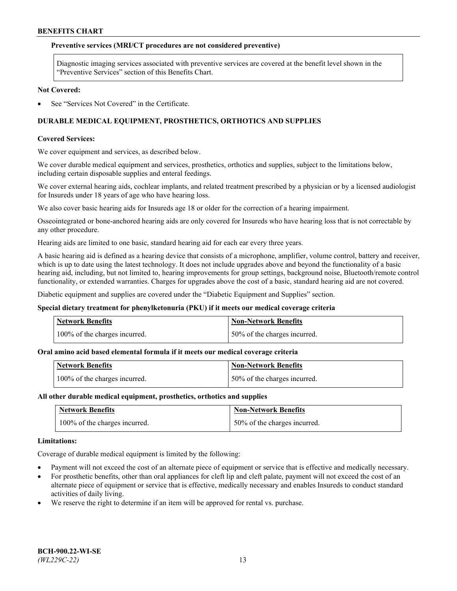### **Preventive services (MRI/CT procedures are not considered preventive)**

Diagnostic imaging services associated with preventive services are covered at the benefit level shown in the "Preventive Services" section of this Benefits Chart.

#### **Not Covered:**

See "Services Not Covered" in the Certificate.

# **DURABLE MEDICAL EQUIPMENT, PROSTHETICS, ORTHOTICS AND SUPPLIES**

#### **Covered Services:**

We cover equipment and services, as described below.

We cover durable medical equipment and services, prosthetics, orthotics and supplies, subject to the limitations below, including certain disposable supplies and enteral feedings.

We cover external hearing aids, cochlear implants, and related treatment prescribed by a physician or by a licensed audiologist for Insureds under 18 years of age who have hearing loss.

We also cover basic hearing aids for Insureds age 18 or older for the correction of a hearing impairment.

Osseointegrated or bone-anchored hearing aids are only covered for Insureds who have hearing loss that is not correctable by any other procedure.

Hearing aids are limited to one basic, standard hearing aid for each ear every three years.

A basic hearing aid is defined as a hearing device that consists of a microphone, amplifier, volume control, battery and receiver, which is up to date using the latest technology. It does not include upgrades above and beyond the functionality of a basic hearing aid, including, but not limited to, hearing improvements for group settings, background noise, Bluetooth/remote control functionality, or extended warranties. Charges for upgrades above the cost of a basic, standard hearing aid are not covered.

Diabetic equipment and supplies are covered under the "Diabetic Equipment and Supplies" section.

#### **Special dietary treatment for phenylketonuria (PKU) if it meets our medical coverage criteria**

| <b>Network Benefits</b>       | <b>Non-Network Benefits</b>   |
|-------------------------------|-------------------------------|
| 100% of the charges incurred. | 150% of the charges incurred. |

#### **Oral amino acid based elemental formula if it meets our medical coverage criteria**

| <b>Network Benefits</b>       | Non-Network Benefits         |
|-------------------------------|------------------------------|
| 100% of the charges incurred. | 50% of the charges incurred. |

#### **All other durable medical equipment, prosthetics, orthotics and supplies**

| <b>Network Benefits</b>       | <b>Non-Network Benefits</b>  |
|-------------------------------|------------------------------|
| 100% of the charges incurred. | 50% of the charges incurred. |

#### **Limitations:**

Coverage of durable medical equipment is limited by the following:

- Payment will not exceed the cost of an alternate piece of equipment or service that is effective and medically necessary.
- For prosthetic benefits, other than oral appliances for cleft lip and cleft palate, payment will not exceed the cost of an alternate piece of equipment or service that is effective, medically necessary and enables Insureds to conduct standard activities of daily living.
- We reserve the right to determine if an item will be approved for rental vs. purchase.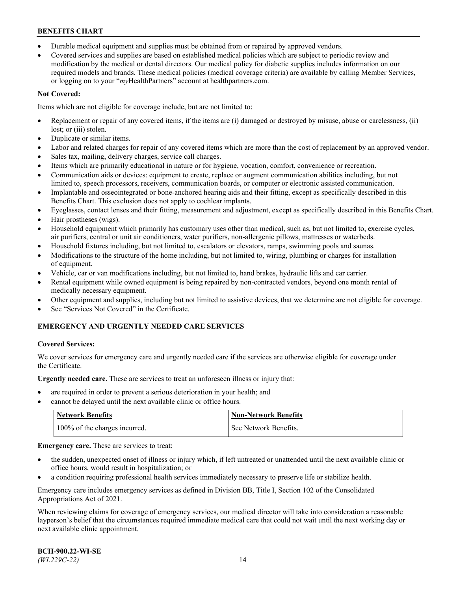- Durable medical equipment and supplies must be obtained from or repaired by approved vendors.
- Covered services and supplies are based on established medical policies which are subject to periodic review and modification by the medical or dental directors. Our medical policy for diabetic supplies includes information on our required models and brands. These medical policies (medical coverage criteria) are available by calling Member Services, or logging on to your "*my*HealthPartners" account a[t healthpartners.com.](http://www.healthpartners.com/)

# **Not Covered:**

Items which are not eligible for coverage include, but are not limited to:

- Replacement or repair of any covered items, if the items are (i) damaged or destroyed by misuse, abuse or carelessness, (ii) lost; or (iii) stolen.
- Duplicate or similar items.
- Labor and related charges for repair of any covered items which are more than the cost of replacement by an approved vendor.
- Sales tax, mailing, delivery charges, service call charges.
- Items which are primarily educational in nature or for hygiene, vocation, comfort, convenience or recreation.
- Communication aids or devices: equipment to create, replace or augment communication abilities including, but not limited to, speech processors, receivers, communication boards, or computer or electronic assisted communication.
- Implantable and osseointegrated or bone-anchored hearing aids and their fitting, except as specifically described in this Benefits Chart. This exclusion does not apply to cochlear implants.
- Eyeglasses, contact lenses and their fitting, measurement and adjustment, except as specifically described in this Benefits Chart.
- Hair prostheses (wigs).
- Household equipment which primarily has customary uses other than medical, such as, but not limited to, exercise cycles, air purifiers, central or unit air conditioners, water purifiers, non-allergenic pillows, mattresses or waterbeds.
- Household fixtures including, but not limited to, escalators or elevators, ramps, swimming pools and saunas.
- Modifications to the structure of the home including, but not limited to, wiring, plumbing or charges for installation of equipment.
- Vehicle, car or van modifications including, but not limited to, hand brakes, hydraulic lifts and car carrier.
- Rental equipment while owned equipment is being repaired by non-contracted vendors, beyond one month rental of medically necessary equipment.
- Other equipment and supplies, including but not limited to assistive devices, that we determine are not eligible for coverage.
- See "Services Not Covered" in the Certificate.

# **EMERGENCY AND URGENTLY NEEDED CARE SERVICES**

## **Covered Services:**

We cover services for emergency care and urgently needed care if the services are otherwise eligible for coverage under the Certificate.

**Urgently needed care.** These are services to treat an unforeseen illness or injury that:

- are required in order to prevent a serious deterioration in your health; and
- cannot be delayed until the next available clinic or office hours.

| <b>Network Benefits</b>       | <b>Non-Network Benefits</b> |
|-------------------------------|-----------------------------|
| 100% of the charges incurred. | See Network Benefits.       |

**Emergency care.** These are services to treat:

- the sudden, unexpected onset of illness or injury which, if left untreated or unattended until the next available clinic or office hours, would result in hospitalization; or
- a condition requiring professional health services immediately necessary to preserve life or stabilize health.

Emergency care includes emergency services as defined in Division BB, Title I, Section 102 of the Consolidated Appropriations Act of 2021.

When reviewing claims for coverage of emergency services, our medical director will take into consideration a reasonable layperson's belief that the circumstances required immediate medical care that could not wait until the next working day or next available clinic appointment.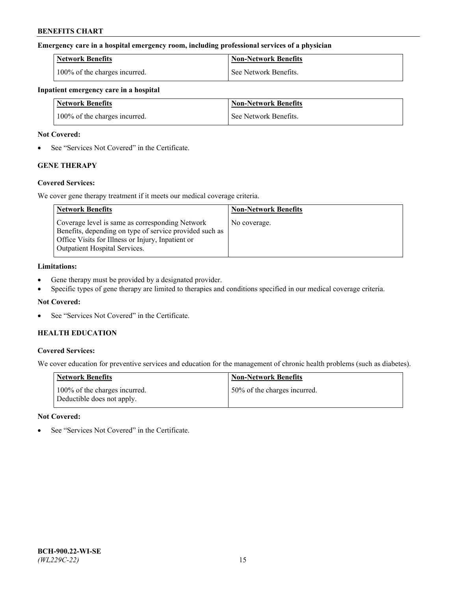### **Emergency care in a hospital emergency room, including professional services of a physician**

| <b>Network Benefits</b>       | <b>Non-Network Benefits</b> |
|-------------------------------|-----------------------------|
| 100% of the charges incurred. | See Network Benefits.       |

#### **Inpatient emergency care in a hospital**

| <b>Network Benefits</b>       | <b>Non-Network Benefits</b> |
|-------------------------------|-----------------------------|
| 100% of the charges incurred. | See Network Benefits.       |

### **Not Covered:**

• See "Services Not Covered" in the Certificate.

# **GENE THERAPY**

## **Covered Services:**

We cover gene therapy treatment if it meets our medical coverage criteria.

| <b>Network Benefits</b>                                                                                                                                                                                 | <b>Non-Network Benefits</b> |
|---------------------------------------------------------------------------------------------------------------------------------------------------------------------------------------------------------|-----------------------------|
| Coverage level is same as corresponding Network<br>Benefits, depending on type of service provided such as<br>Office Visits for Illness or Injury, Inpatient or<br><b>Outpatient Hospital Services.</b> | No coverage.                |

### **Limitations:**

- Gene therapy must be provided by a designated provider.
- Specific types of gene therapy are limited to therapies and conditions specified in our medical coverage criteria.

## **Not Covered:**

See "Services Not Covered" in the Certificate.

# **HEALTH EDUCATION**

## **Covered Services:**

We cover education for preventive services and education for the management of chronic health problems (such as diabetes).

| <b>Network Benefits</b>                                     | <b>Non-Network Benefits</b>  |
|-------------------------------------------------------------|------------------------------|
| 100% of the charges incurred.<br>Deductible does not apply. | 50% of the charges incurred. |

#### **Not Covered:**

See "Services Not Covered" in the Certificate.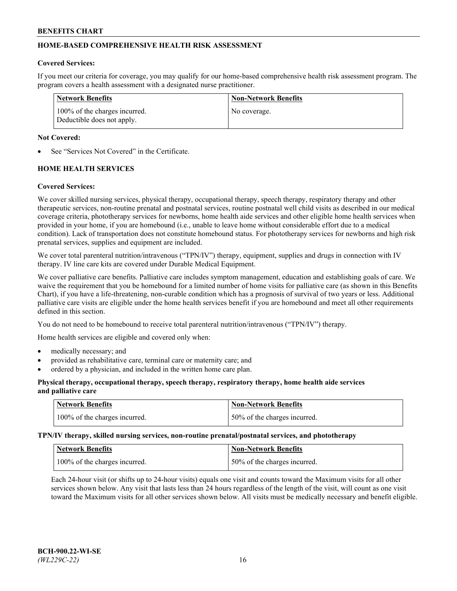# **HOME-BASED COMPREHENSIVE HEALTH RISK ASSESSMENT**

#### **Covered Services:**

If you meet our criteria for coverage, you may qualify for our home-based comprehensive health risk assessment program. The program covers a health assessment with a designated nurse practitioner.

| Network Benefits                                            | <b>Non-Network Benefits</b> |
|-------------------------------------------------------------|-----------------------------|
| 100% of the charges incurred.<br>Deductible does not apply. | No coverage.                |

### **Not Covered:**

See "Services Not Covered" in the Certificate.

# **HOME HEALTH SERVICES**

### **Covered Services:**

We cover skilled nursing services, physical therapy, occupational therapy, speech therapy, respiratory therapy and other therapeutic services, non-routine prenatal and postnatal services, routine postnatal well child visits as described in our medical coverage criteria, phototherapy services for newborns, home health aide services and other eligible home health services when provided in your home, if you are homebound (i.e., unable to leave home without considerable effort due to a medical condition). Lack of transportation does not constitute homebound status. For phototherapy services for newborns and high risk prenatal services, supplies and equipment are included.

We cover total parenteral nutrition/intravenous ("TPN/IV") therapy, equipment, supplies and drugs in connection with IV therapy. IV line care kits are covered under Durable Medical Equipment.

We cover palliative care benefits. Palliative care includes symptom management, education and establishing goals of care. We waive the requirement that you be homebound for a limited number of home visits for palliative care (as shown in this Benefits Chart), if you have a life-threatening, non-curable condition which has a prognosis of survival of two years or less. Additional palliative care visits are eligible under the home health services benefit if you are homebound and meet all other requirements defined in this section.

You do not need to be homebound to receive total parenteral nutrition/intravenous ("TPN/IV") therapy.

Home health services are eligible and covered only when:

- medically necessary; and
- provided as rehabilitative care, terminal care or maternity care; and
- ordered by a physician, and included in the written home care plan.

### **Physical therapy, occupational therapy, speech therapy, respiratory therapy, home health aide services and palliative care**

| Network Benefits              | <b>Non-Network Benefits</b>  |
|-------------------------------|------------------------------|
| 100% of the charges incurred. | 50% of the charges incurred. |

**TPN/IV therapy, skilled nursing services, non-routine prenatal/postnatal services, and phototherapy**

| Network Benefits              | Non-Network Benefits         |
|-------------------------------|------------------------------|
| 100% of the charges incurred. | 50% of the charges incurred. |

Each 24-hour visit (or shifts up to 24-hour visits) equals one visit and counts toward the Maximum visits for all other services shown below. Any visit that lasts less than 24 hours regardless of the length of the visit, will count as one visit toward the Maximum visits for all other services shown below. All visits must be medically necessary and benefit eligible.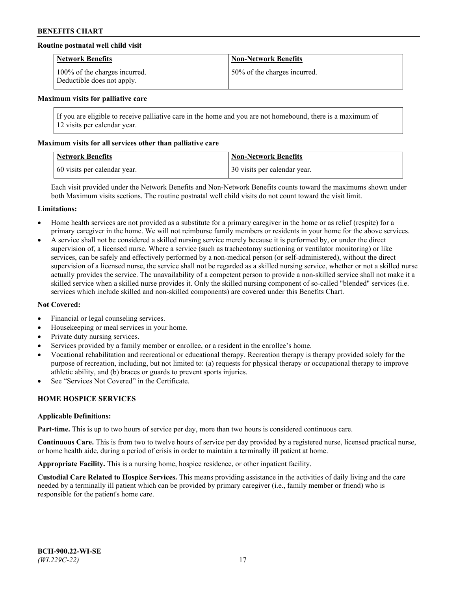## **Routine postnatal well child visit**

| <b>Network Benefits</b>                                     | <b>Non-Network Benefits</b>  |
|-------------------------------------------------------------|------------------------------|
| 100% of the charges incurred.<br>Deductible does not apply. | 50% of the charges incurred. |

#### **Maximum visits for palliative care**

If you are eligible to receive palliative care in the home and you are not homebound, there is a maximum of 12 visits per calendar year.

### **Maximum visits for all services other than palliative care**

| <b>Network Benefits</b>      | <b>Non-Network Benefits</b>  |
|------------------------------|------------------------------|
| 60 visits per calendar year. | 30 visits per calendar year. |

Each visit provided under the Network Benefits and Non-Network Benefits counts toward the maximums shown under both Maximum visits sections. The routine postnatal well child visits do not count toward the visit limit.

#### **Limitations:**

- Home health services are not provided as a substitute for a primary caregiver in the home or as relief (respite) for a primary caregiver in the home. We will not reimburse family members or residents in your home for the above services.
- A service shall not be considered a skilled nursing service merely because it is performed by, or under the direct supervision of, a licensed nurse. Where a service (such as tracheotomy suctioning or ventilator monitoring) or like services, can be safely and effectively performed by a non-medical person (or self-administered), without the direct supervision of a licensed nurse, the service shall not be regarded as a skilled nursing service, whether or not a skilled nurse actually provides the service. The unavailability of a competent person to provide a non-skilled service shall not make it a skilled service when a skilled nurse provides it. Only the skilled nursing component of so-called "blended" services (i.e. services which include skilled and non-skilled components) are covered under this Benefits Chart.

#### **Not Covered:**

- Financial or legal counseling services.
- Housekeeping or meal services in your home.
- Private duty nursing services.
- Services provided by a family member or enrollee, or a resident in the enrollee's home.
- Vocational rehabilitation and recreational or educational therapy. Recreation therapy is therapy provided solely for the purpose of recreation, including, but not limited to: (a) requests for physical therapy or occupational therapy to improve athletic ability, and (b) braces or guards to prevent sports injuries.
- See "Services Not Covered" in the Certificate.

# **HOME HOSPICE SERVICES**

#### **Applicable Definitions:**

**Part-time.** This is up to two hours of service per day, more than two hours is considered continuous care.

**Continuous Care.** This is from two to twelve hours of service per day provided by a registered nurse, licensed practical nurse, or home health aide, during a period of crisis in order to maintain a terminally ill patient at home.

**Appropriate Facility.** This is a nursing home, hospice residence, or other inpatient facility.

**Custodial Care Related to Hospice Services.** This means providing assistance in the activities of daily living and the care needed by a terminally ill patient which can be provided by primary caregiver (i.e., family member or friend) who is responsible for the patient's home care.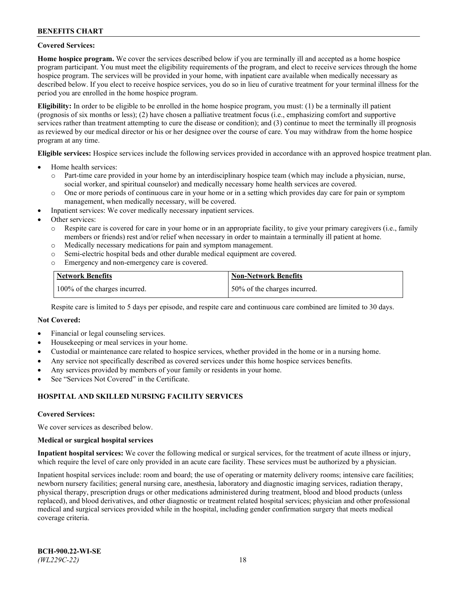### **Covered Services:**

**Home hospice program.** We cover the services described below if you are terminally ill and accepted as a home hospice program participant. You must meet the eligibility requirements of the program, and elect to receive services through the home hospice program. The services will be provided in your home, with inpatient care available when medically necessary as described below. If you elect to receive hospice services, you do so in lieu of curative treatment for your terminal illness for the period you are enrolled in the home hospice program.

**Eligibility:** In order to be eligible to be enrolled in the home hospice program, you must: (1) be a terminally ill patient (prognosis of six months or less); (2) have chosen a palliative treatment focus (i.e., emphasizing comfort and supportive services rather than treatment attempting to cure the disease or condition); and (3) continue to meet the terminally ill prognosis as reviewed by our medical director or his or her designee over the course of care. You may withdraw from the home hospice program at any time.

**Eligible services:** Hospice services include the following services provided in accordance with an approved hospice treatment plan.

- Home health services:
	- o Part-time care provided in your home by an interdisciplinary hospice team (which may include a physician, nurse, social worker, and spiritual counselor) and medically necessary home health services are covered.
	- o One or more periods of continuous care in your home or in a setting which provides day care for pain or symptom management, when medically necessary, will be covered.
- Inpatient services: We cover medically necessary inpatient services.
- Other services:
	- o Respite care is covered for care in your home or in an appropriate facility, to give your primary caregivers (i.e., family members or friends) rest and/or relief when necessary in order to maintain a terminally ill patient at home.
	- o Medically necessary medications for pain and symptom management.
	- o Semi-electric hospital beds and other durable medical equipment are covered.
	- Emergency and non-emergency care is covered.

| Network Benefits              | <b>Non-Network Benefits</b>  |
|-------------------------------|------------------------------|
| 100% of the charges incurred. | 50% of the charges incurred. |

Respite care is limited to 5 days per episode, and respite care and continuous care combined are limited to 30 days.

### **Not Covered:**

- Financial or legal counseling services.
- Housekeeping or meal services in your home.
- Custodial or maintenance care related to hospice services, whether provided in the home or in a nursing home.
- Any service not specifically described as covered services under this home hospice services benefits.
- Any services provided by members of your family or residents in your home.
- See "Services Not Covered" in the Certificate.

## **HOSPITAL AND SKILLED NURSING FACILITY SERVICES**

#### **Covered Services:**

We cover services as described below.

#### **Medical or surgical hospital services**

**Inpatient hospital services:** We cover the following medical or surgical services, for the treatment of acute illness or injury, which require the level of care only provided in an acute care facility. These services must be authorized by a physician.

Inpatient hospital services include: room and board; the use of operating or maternity delivery rooms; intensive care facilities; newborn nursery facilities; general nursing care, anesthesia, laboratory and diagnostic imaging services, radiation therapy, physical therapy, prescription drugs or other medications administered during treatment, blood and blood products (unless replaced), and blood derivatives, and other diagnostic or treatment related hospital services; physician and other professional medical and surgical services provided while in the hospital, including gender confirmation surgery that meets medical coverage criteria.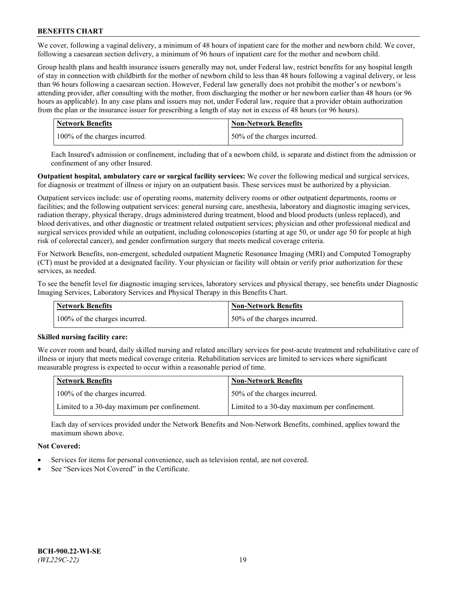We cover, following a vaginal delivery, a minimum of 48 hours of inpatient care for the mother and newborn child. We cover, following a caesarean section delivery, a minimum of 96 hours of inpatient care for the mother and newborn child.

Group health plans and health insurance issuers generally may not, under Federal law, restrict benefits for any hospital length of stay in connection with childbirth for the mother of newborn child to less than 48 hours following a vaginal delivery, or less than 96 hours following a caesarean section. However, Federal law generally does not prohibit the mother's or newborn's attending provider, after consulting with the mother, from discharging the mother or her newborn earlier than 48 hours (or 96 hours as applicable). In any case plans and issuers may not, under Federal law, require that a provider obtain authorization from the plan or the insurance issuer for prescribing a length of stay not in excess of 48 hours (or 96 hours).

| <b>Network Benefits</b>       | <b>Non-Network Benefits</b>  |
|-------------------------------|------------------------------|
| 100% of the charges incurred. | 50% of the charges incurred. |

Each Insured's admission or confinement, including that of a newborn child, is separate and distinct from the admission or confinement of any other Insured.

**Outpatient hospital, ambulatory care or surgical facility services:** We cover the following medical and surgical services, for diagnosis or treatment of illness or injury on an outpatient basis. These services must be authorized by a physician.

Outpatient services include: use of operating rooms, maternity delivery rooms or other outpatient departments, rooms or facilities; and the following outpatient services: general nursing care, anesthesia, laboratory and diagnostic imaging services, radiation therapy, physical therapy, drugs administered during treatment, blood and blood products (unless replaced), and blood derivatives, and other diagnostic or treatment related outpatient services; physician and other professional medical and surgical services provided while an outpatient, including colonoscopies (starting at age 50, or under age 50 for people at high risk of colorectal cancer), and gender confirmation surgery that meets medical coverage criteria.

For Network Benefits, non-emergent, scheduled outpatient Magnetic Resonance Imaging (MRI) and Computed Tomography (CT) must be provided at a designated facility. Your physician or facility will obtain or verify prior authorization for these services, as needed.

To see the benefit level for diagnostic imaging services, laboratory services and physical therapy, see benefits under Diagnostic Imaging Services, Laboratory Services and Physical Therapy in this Benefits Chart.

| <b>Network Benefits</b>       | <b>Non-Network Benefits</b>  |
|-------------------------------|------------------------------|
| 100% of the charges incurred. | 50% of the charges incurred. |

## **Skilled nursing facility care:**

We cover room and board, daily skilled nursing and related ancillary services for post-acute treatment and rehabilitative care of illness or injury that meets medical coverage criteria. Rehabilitation services are limited to services where significant measurable progress is expected to occur within a reasonable period of time.

| Network Benefits                             | <b>Non-Network Benefits</b>                  |
|----------------------------------------------|----------------------------------------------|
| 100% of the charges incurred.                | 50% of the charges incurred.                 |
| Limited to a 30-day maximum per confinement. | Limited to a 30-day maximum per confinement. |

Each day of services provided under the Network Benefits and Non-Network Benefits, combined, applies toward the maximum shown above.

## **Not Covered:**

- Services for items for personal convenience, such as television rental, are not covered.
- See "Services Not Covered" in the Certificate.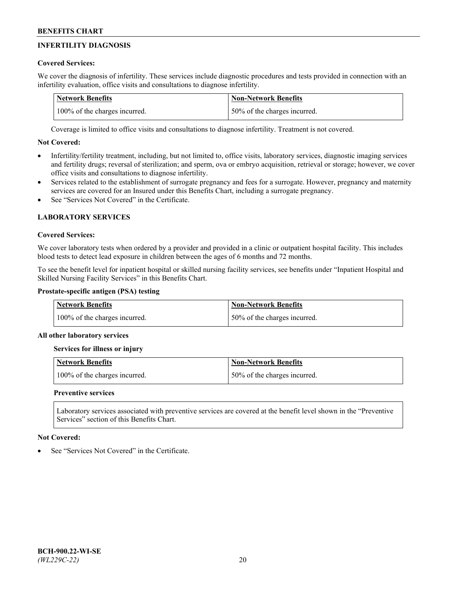# **INFERTILITY DIAGNOSIS**

# **Covered Services:**

We cover the diagnosis of infertility. These services include diagnostic procedures and tests provided in connection with an infertility evaluation, office visits and consultations to diagnose infertility.

| <b>Network Benefits</b>       | <b>Non-Network Benefits</b>  |
|-------------------------------|------------------------------|
| 100% of the charges incurred. | 50% of the charges incurred. |

Coverage is limited to office visits and consultations to diagnose infertility. Treatment is not covered.

# **Not Covered:**

- Infertility/fertility treatment, including, but not limited to, office visits, laboratory services, diagnostic imaging services and fertility drugs; reversal of sterilization; and sperm, ova or embryo acquisition, retrieval or storage; however, we cover office visits and consultations to diagnose infertility.
- Services related to the establishment of surrogate pregnancy and fees for a surrogate. However, pregnancy and maternity services are covered for an Insured under this Benefits Chart, including a surrogate pregnancy.
- See "Services Not Covered" in the Certificate

# **LABORATORY SERVICES**

## **Covered Services:**

We cover laboratory tests when ordered by a provider and provided in a clinic or outpatient hospital facility. This includes blood tests to detect lead exposure in children between the ages of 6 months and 72 months.

To see the benefit level for inpatient hospital or skilled nursing facility services, see benefits under "Inpatient Hospital and Skilled Nursing Facility Services" in this Benefits Chart.

# **Prostate-specific antigen (PSA) testing**

| <b>Network Benefits</b>       | <b>Non-Network Benefits</b>  |
|-------------------------------|------------------------------|
| 100% of the charges incurred. | 50% of the charges incurred. |

## **All other laboratory services**

**Services for illness or injury**

| <b>Network Benefits</b>       | 'Non-Network Benefits        |
|-------------------------------|------------------------------|
| 100% of the charges incurred. | 50% of the charges incurred. |

## **Preventive services**

Laboratory services associated with preventive services are covered at the benefit level shown in the "Preventive Services" section of this Benefits Chart.

## **Not Covered:**

See "Services Not Covered" in the Certificate.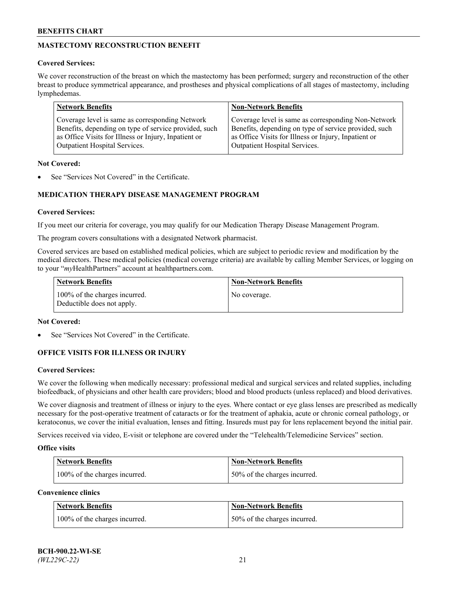# **MASTECTOMY RECONSTRUCTION BENEFIT**

## **Covered Services:**

We cover reconstruction of the breast on which the mastectomy has been performed; surgery and reconstruction of the other breast to produce symmetrical appearance, and prostheses and physical complications of all stages of mastectomy, including lymphedemas.

| <b>Network Benefits</b>                               | <b>Non-Network Benefits</b>                           |
|-------------------------------------------------------|-------------------------------------------------------|
| Coverage level is same as corresponding Network       | Coverage level is same as corresponding Non-Network   |
| Benefits, depending on type of service provided, such | Benefits, depending on type of service provided, such |
| as Office Visits for Illness or Injury, Inpatient or  | as Office Visits for Illness or Injury, Inpatient or  |
| Outpatient Hospital Services.                         | Outpatient Hospital Services.                         |

### **Not Covered:**

See "Services Not Covered" in the Certificate.

# **MEDICATION THERAPY DISEASE MANAGEMENT PROGRAM**

## **Covered Services:**

If you meet our criteria for coverage, you may qualify for our Medication Therapy Disease Management Program.

The program covers consultations with a designated Network pharmacist.

Covered services are based on established medical policies, which are subject to periodic review and modification by the medical directors. These medical policies (medical coverage criteria) are available by calling Member Services, or logging on to your "*my*HealthPartners" account at [healthpartners.com.](http://www.healthpartners.com/)

| Network Benefits                                            | <b>Non-Network Benefits</b> |
|-------------------------------------------------------------|-----------------------------|
| 100% of the charges incurred.<br>Deductible does not apply. | No coverage.                |

### **Not Covered:**

See "Services Not Covered" in the Certificate.

## **OFFICE VISITS FOR ILLNESS OR INJURY**

#### **Covered Services:**

We cover the following when medically necessary: professional medical and surgical services and related supplies, including biofeedback, of physicians and other health care providers; blood and blood products (unless replaced) and blood derivatives.

We cover diagnosis and treatment of illness or injury to the eyes. Where contact or eye glass lenses are prescribed as medically necessary for the post-operative treatment of cataracts or for the treatment of aphakia, acute or chronic corneal pathology, or keratoconus, we cover the initial evaluation, lenses and fitting. Insureds must pay for lens replacement beyond the initial pair.

Services received via video, E-visit or telephone are covered under the "Telehealth/Telemedicine Services" section.

#### **Office visits**

| <b>Network Benefits</b>       | <b>Non-Network Benefits</b>   |
|-------------------------------|-------------------------------|
| 100% of the charges incurred. | 150% of the charges incurred. |

**Convenience clinics**

| <b>Network Benefits</b>       | <b>Non-Network Benefits</b>   |
|-------------------------------|-------------------------------|
| 100% of the charges incurred. | 150% of the charges incurred. |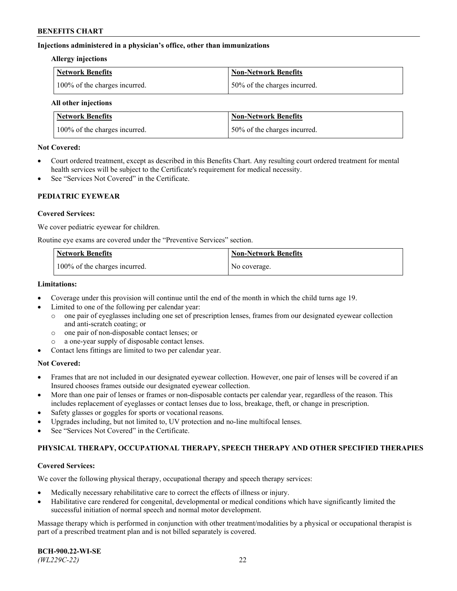### **Injections administered in a physician's office, other than immunizations**

#### **Allergy injections**

| Network Benefits              | Non-Network Benefits          |
|-------------------------------|-------------------------------|
| 100% of the charges incurred. | 150% of the charges incurred. |

#### **All other injections**

| <b>Network Benefits</b>       | <b>Non-Network Benefits</b>  |
|-------------------------------|------------------------------|
| 100% of the charges incurred. | 50% of the charges incurred. |

### **Not Covered:**

- Court ordered treatment, except as described in this Benefits Chart. Any resulting court ordered treatment for mental health services will be subject to the Certificate's requirement for medical necessity.
- See "Services Not Covered" in the Certificate.

## **PEDIATRIC EYEWEAR**

### **Covered Services:**

We cover pediatric eyewear for children.

Routine eye exams are covered under the "Preventive Services" section.

| Network Benefits              | <b>Non-Network Benefits</b> |
|-------------------------------|-----------------------------|
| 100% of the charges incurred. | No coverage.                |

### **Limitations:**

- Coverage under this provision will continue until the end of the month in which the child turns age 19.
- Limited to one of the following per calendar year:
	- o one pair of eyeglasses including one set of prescription lenses, frames from our designated eyewear collection and anti-scratch coating; or
	- o one pair of non-disposable contact lenses; or
	- o a one-year supply of disposable contact lenses.
- Contact lens fittings are limited to two per calendar year.

## **Not Covered:**

- Frames that are not included in our designated eyewear collection. However, one pair of lenses will be covered if an Insured chooses frames outside our designated eyewear collection.
- More than one pair of lenses or frames or non-disposable contacts per calendar year, regardless of the reason. This includes replacement of eyeglasses or contact lenses due to loss, breakage, theft, or change in prescription.
- Safety glasses or goggles for sports or vocational reasons.
- Upgrades including, but not limited to, UV protection and no-line multifocal lenses.
- See "Services Not Covered" in the Certificate.

## **PHYSICAL THERAPY, OCCUPATIONAL THERAPY, SPEECH THERAPY AND OTHER SPECIFIED THERAPIES**

#### **Covered Services:**

We cover the following physical therapy, occupational therapy and speech therapy services:

- Medically necessary rehabilitative care to correct the effects of illness or injury.
- Habilitative care rendered for congenital, developmental or medical conditions which have significantly limited the successful initiation of normal speech and normal motor development.

Massage therapy which is performed in conjunction with other treatment/modalities by a physical or occupational therapist is part of a prescribed treatment plan and is not billed separately is covered.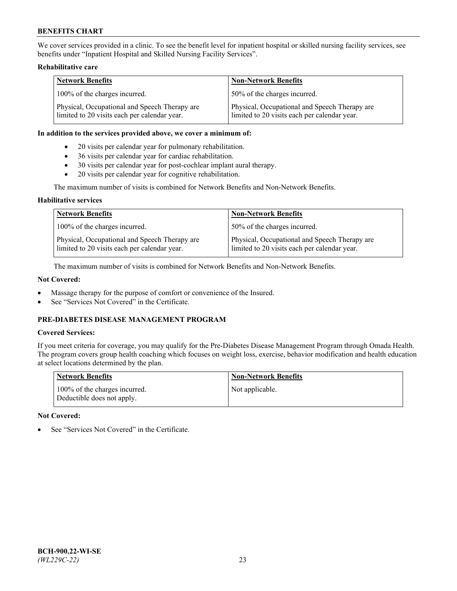We cover services provided in a clinic. To see the benefit level for inpatient hospital or skilled nursing facility services, see benefits under "Inpatient Hospital and Skilled Nursing Facility Services".

### **Rehabilitative care**

| <b>Network Benefits</b>                                                                       | <b>Non-Network Benefits</b>                                                                   |
|-----------------------------------------------------------------------------------------------|-----------------------------------------------------------------------------------------------|
| 100% of the charges incurred.                                                                 | 50% of the charges incurred.                                                                  |
| Physical, Occupational and Speech Therapy are<br>limited to 20 visits each per calendar year. | Physical, Occupational and Speech Therapy are<br>limited to 20 visits each per calendar year. |

#### **In addition to the services provided above, we cover a minimum of:**

- 20 visits per calendar year for pulmonary rehabilitation.
- 36 visits per calendar year for cardiac rehabilitation.
- 30 visits per calendar year for post-cochlear implant aural therapy.
- 20 visits per calendar year for cognitive rehabilitation.

The maximum number of visits is combined for Network Benefits and Non-Network Benefits.

### **Habilitative services**

| <b>Network Benefits</b>                                                                       | <b>Non-Network Benefits</b>                                                                   |
|-----------------------------------------------------------------------------------------------|-----------------------------------------------------------------------------------------------|
| 100% of the charges incurred.                                                                 | 50% of the charges incurred.                                                                  |
| Physical, Occupational and Speech Therapy are<br>limited to 20 visits each per calendar year. | Physical, Occupational and Speech Therapy are<br>limited to 20 visits each per calendar year. |

The maximum number of visits is combined for Network Benefits and Non-Network Benefits.

## **Not Covered:**

- Massage therapy for the purpose of comfort or convenience of the Insured.
- See "Services Not Covered" in the Certificate.

# **PRE-DIABETES DISEASE MANAGEMENT PROGRAM**

# **Covered Services:**

If you meet criteria for coverage, you may qualify for the Pre-Diabetes Disease Management Program through Omada Health. The program covers group health coaching which focuses on weight loss, exercise, behavior modification and health education at select locations determined by the plan.

| <b>Network Benefits</b>                                     | <b>Non-Network Benefits</b> |
|-------------------------------------------------------------|-----------------------------|
| 100% of the charges incurred.<br>Deductible does not apply. | Not applicable.             |

## **Not Covered:**

See "Services Not Covered" in the Certificate.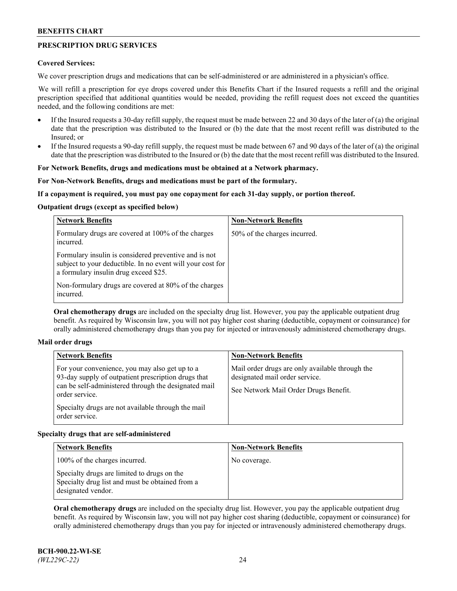# **PRESCRIPTION DRUG SERVICES**

### **Covered Services:**

We cover prescription drugs and medications that can be self-administered or are administered in a physician's office.

We will refill a prescription for eye drops covered under this Benefits Chart if the Insured requests a refill and the original prescription specified that additional quantities would be needed, providing the refill request does not exceed the quantities needed, and the following conditions are met:

- If the Insured requests a 30-day refill supply, the request must be made between 22 and 30 days of the later of (a) the original date that the prescription was distributed to the Insured or (b) the date that the most recent refill was distributed to the Insured; or
- If the Insured requests a 90-day refill supply, the request must be made between 67 and 90 days of the later of (a) the original date that the prescription was distributed to the Insured or (b) the date that the most recent refill was distributed to the Insured.

## **For Network Benefits, drugs and medications must be obtained at a Network pharmacy.**

### **For Non-Network Benefits, drugs and medications must be part of the formulary.**

### **If a copayment is required, you must pay one copayment for each 31-day supply, or portion thereof.**

### **Outpatient drugs (except as specified below)**

| <b>Network Benefits</b>                                                                                                                                      | <b>Non-Network Benefits</b>  |
|--------------------------------------------------------------------------------------------------------------------------------------------------------------|------------------------------|
| Formulary drugs are covered at 100% of the charges<br>incurred.                                                                                              | 50% of the charges incurred. |
| Formulary insulin is considered preventive and is not<br>subject to your deductible. In no event will your cost for<br>a formulary insulin drug exceed \$25. |                              |
| Non-formulary drugs are covered at 80% of the charges<br>incurred.                                                                                           |                              |

**Oral chemotherapy drugs** are included on the specialty drug list. However, you pay the applicable outpatient drug benefit. As required by Wisconsin law, you will not pay higher cost sharing (deductible, copayment or coinsurance) for orally administered chemotherapy drugs than you pay for injected or intravenously administered chemotherapy drugs.

## **Mail order drugs**

| For your convenience, you may also get up to a                                                                                                                                                        |                                                                                                                            |
|-------------------------------------------------------------------------------------------------------------------------------------------------------------------------------------------------------|----------------------------------------------------------------------------------------------------------------------------|
| 93-day supply of outpatient prescription drugs that<br>can be self-administered through the designated mail<br>order service.<br>Specialty drugs are not available through the mail<br>order service. | Mail order drugs are only available through the<br>designated mail order service.<br>See Network Mail Order Drugs Benefit. |

## **Specialty drugs that are self-administered**

| <b>Network Benefits</b>                                                                                              | <b>Non-Network Benefits</b> |
|----------------------------------------------------------------------------------------------------------------------|-----------------------------|
| 100% of the charges incurred.                                                                                        | No coverage.                |
| Specialty drugs are limited to drugs on the<br>Specialty drug list and must be obtained from a<br>designated vendor. |                             |

**Oral chemotherapy drugs** are included on the specialty drug list. However, you pay the applicable outpatient drug benefit. As required by Wisconsin law, you will not pay higher cost sharing (deductible, copayment or coinsurance) for orally administered chemotherapy drugs than you pay for injected or intravenously administered chemotherapy drugs.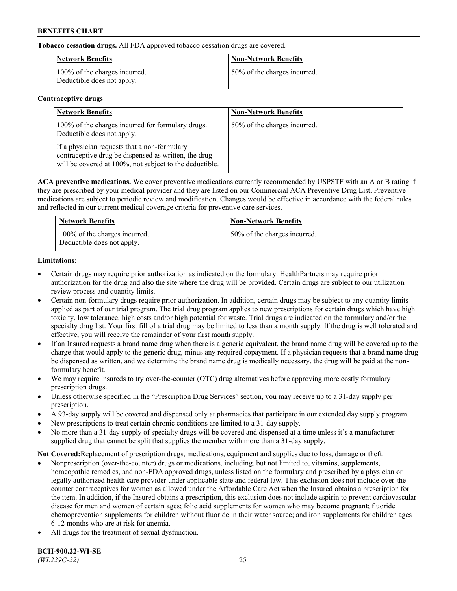**Tobacco cessation drugs.** All FDA approved tobacco cessation drugs are covered.

| <b>Network Benefits</b>                                     | <b>Non-Network Benefits</b>  |
|-------------------------------------------------------------|------------------------------|
| 100% of the charges incurred.<br>Deductible does not apply. | 50% of the charges incurred. |

# **Contraceptive drugs**

| <b>Network Benefits</b>                                                                                                                                         | <b>Non-Network Benefits</b>  |
|-----------------------------------------------------------------------------------------------------------------------------------------------------------------|------------------------------|
| 100% of the charges incurred for formulary drugs.<br>Deductible does not apply.                                                                                 | 50% of the charges incurred. |
| If a physician requests that a non-formulary<br>contraceptive drug be dispensed as written, the drug<br>will be covered at 100%, not subject to the deductible. |                              |

**ACA preventive medications.** We cover preventive medications currently recommended by USPSTF with an A or B rating if they are prescribed by your medical provider and they are listed on our Commercial ACA Preventive Drug List. Preventive medications are subject to periodic review and modification. Changes would be effective in accordance with the federal rules and reflected in our current medical coverage criteria for preventive care services.

| <b>Network Benefits</b>                                     | <b>Non-Network Benefits</b>  |
|-------------------------------------------------------------|------------------------------|
| 100% of the charges incurred.<br>Deductible does not apply. | 50% of the charges incurred. |

# **Limitations:**

- Certain drugs may require prior authorization as indicated on the formulary. HealthPartners may require prior authorization for the drug and also the site where the drug will be provided. Certain drugs are subject to our utilization review process and quantity limits.
- Certain non-formulary drugs require prior authorization. In addition, certain drugs may be subject to any quantity limits applied as part of our trial program. The trial drug program applies to new prescriptions for certain drugs which have high toxicity, low tolerance, high costs and/or high potential for waste. Trial drugs are indicated on the formulary and/or the specialty drug list. Your first fill of a trial drug may be limited to less than a month supply. If the drug is well tolerated and effective, you will receive the remainder of your first month supply.
- If an Insured requests a brand name drug when there is a generic equivalent, the brand name drug will be covered up to the charge that would apply to the generic drug, minus any required copayment. If a physician requests that a brand name drug be dispensed as written, and we determine the brand name drug is medically necessary, the drug will be paid at the nonformulary benefit.
- We may require insureds to try over-the-counter (OTC) drug alternatives before approving more costly formulary prescription drugs.
- Unless otherwise specified in the "Prescription Drug Services" section, you may receive up to a 31-day supply per prescription.
- A 93-day supply will be covered and dispensed only at pharmacies that participate in our extended day supply program.
- New prescriptions to treat certain chronic conditions are limited to a 31-day supply.
- No more than a 31-day supply of specialty drugs will be covered and dispensed at a time unless it's a manufacturer supplied drug that cannot be split that supplies the member with more than a 31-day supply.

**Not Covered:**Replacement of prescription drugs, medications, equipment and supplies due to loss, damage or theft.

- Nonprescription (over-the-counter) drugs or medications, including, but not limited to, vitamins, supplements, homeopathic remedies, and non-FDA approved drugs, unless listed on the formulary and prescribed by a physician or legally authorized health care provider under applicable state and federal law. This exclusion does not include over-thecounter contraceptives for women as allowed under the Affordable Care Act when the Insured obtains a prescription for the item. In addition, if the Insured obtains a prescription, this exclusion does not include aspirin to prevent cardiovascular disease for men and women of certain ages; folic acid supplements for women who may become pregnant; fluoride chemoprevention supplements for children without fluoride in their water source; and iron supplements for children ages 6-12 months who are at risk for anemia.
- All drugs for the treatment of sexual dysfunction.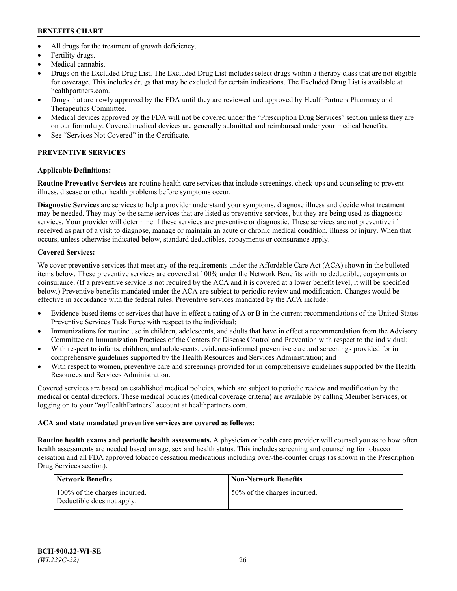- All drugs for the treatment of growth deficiency.
- Fertility drugs.
- Medical cannabis.
- Drugs on the Excluded Drug List. The Excluded Drug List includes select drugs within a therapy class that are not eligible for coverage. This includes drugs that may be excluded for certain indications. The Excluded Drug List is available at [healthpartners.com.](http://www.healthpartners.com/)
- Drugs that are newly approved by the FDA until they are reviewed and approved by HealthPartners Pharmacy and Therapeutics Committee.
- Medical devices approved by the FDA will not be covered under the "Prescription Drug Services" section unless they are on our formulary. Covered medical devices are generally submitted and reimbursed under your medical benefits.
- See "Services Not Covered" in the Certificate.

# **PREVENTIVE SERVICES**

# **Applicable Definitions:**

**Routine Preventive Services** are routine health care services that include screenings, check-ups and counseling to prevent illness, disease or other health problems before symptoms occur.

**Diagnostic Services** are services to help a provider understand your symptoms, diagnose illness and decide what treatment may be needed. They may be the same services that are listed as preventive services, but they are being used as diagnostic services. Your provider will determine if these services are preventive or diagnostic. These services are not preventive if received as part of a visit to diagnose, manage or maintain an acute or chronic medical condition, illness or injury. When that occurs, unless otherwise indicated below, standard deductibles, copayments or coinsurance apply.

# **Covered Services:**

We cover preventive services that meet any of the requirements under the Affordable Care Act (ACA) shown in the bulleted items below. These preventive services are covered at 100% under the Network Benefits with no deductible, copayments or coinsurance. (If a preventive service is not required by the ACA and it is covered at a lower benefit level, it will be specified below.) Preventive benefits mandated under the ACA are subject to periodic review and modification. Changes would be effective in accordance with the federal rules. Preventive services mandated by the ACA include:

- Evidence-based items or services that have in effect a rating of A or B in the current recommendations of the United States Preventive Services Task Force with respect to the individual;
- Immunizations for routine use in children, adolescents, and adults that have in effect a recommendation from the Advisory Committee on Immunization Practices of the Centers for Disease Control and Prevention with respect to the individual;
- With respect to infants, children, and adolescents, evidence-informed preventive care and screenings provided for in comprehensive guidelines supported by the Health Resources and Services Administration; and
- With respect to women, preventive care and screenings provided for in comprehensive guidelines supported by the Health Resources and Services Administration.

Covered services are based on established medical policies, which are subject to periodic review and modification by the medical or dental directors. These medical policies (medical coverage criteria) are available by calling Member Services, or logging on to your "*my*HealthPartners" account at [healthpartners.com.](https://www.healthpartners.com/hp/index.html)

# **ACA and state mandated preventive services are covered as follows:**

**Routine health exams and periodic health assessments.** A physician or health care provider will counsel you as to how often health assessments are needed based on age, sex and health status. This includes screening and counseling for tobacco cessation and all FDA approved tobacco cessation medications including over-the-counter drugs (as shown in the Prescription Drug Services section).

| Network Benefits                                            | <b>Non-Network Benefits</b>  |
|-------------------------------------------------------------|------------------------------|
| 100% of the charges incurred.<br>Deductible does not apply. | 50% of the charges incurred. |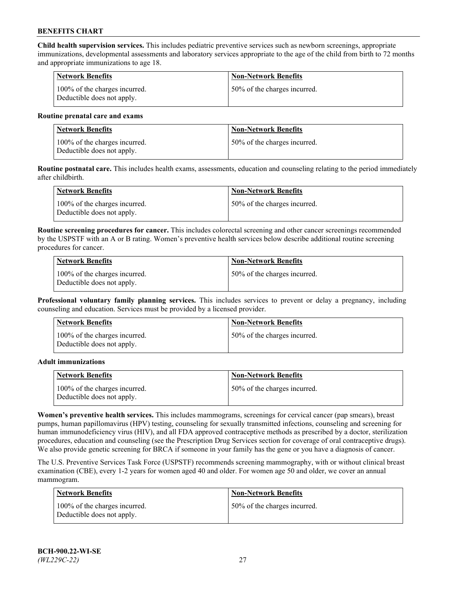**Child health supervision services.** This includes pediatric preventive services such as newborn screenings, appropriate immunizations, developmental assessments and laboratory services appropriate to the age of the child from birth to 72 months and appropriate immunizations to age 18.

| <b>Network Benefits</b>                                     | <b>Non-Network Benefits</b>  |
|-------------------------------------------------------------|------------------------------|
| 100% of the charges incurred.<br>Deductible does not apply. | 50% of the charges incurred. |

#### **Routine prenatal care and exams**

| Network Benefits                                            | <b>Non-Network Benefits</b>  |
|-------------------------------------------------------------|------------------------------|
| 100% of the charges incurred.<br>Deductible does not apply. | 50% of the charges incurred. |

**Routine postnatal care.** This includes health exams, assessments, education and counseling relating to the period immediately after childbirth.

| Network Benefits                                            | <b>Non-Network Benefits</b>  |
|-------------------------------------------------------------|------------------------------|
| 100% of the charges incurred.<br>Deductible does not apply. | 50% of the charges incurred. |

**Routine screening procedures for cancer.** This includes colorectal screening and other cancer screenings recommended by the USPSTF with an A or B rating. Women's preventive health services below describe additional routine screening procedures for cancer.

| <b>Network Benefits</b>                                     | <b>Non-Network Benefits</b>  |
|-------------------------------------------------------------|------------------------------|
| 100% of the charges incurred.<br>Deductible does not apply. | 50% of the charges incurred. |

**Professional voluntary family planning services.** This includes services to prevent or delay a pregnancy, including counseling and education. Services must be provided by a licensed provider.

| <b>Network Benefits</b>                                     | <b>Non-Network Benefits</b>  |
|-------------------------------------------------------------|------------------------------|
| 100% of the charges incurred.<br>Deductible does not apply. | 50% of the charges incurred. |

#### **Adult immunizations**

| <b>Network Benefits</b>                                     | <b>Non-Network Benefits</b>  |
|-------------------------------------------------------------|------------------------------|
| 100% of the charges incurred.<br>Deductible does not apply. | 50% of the charges incurred. |

**Women's preventive health services.** This includes mammograms, screenings for cervical cancer (pap smears), breast pumps, human papillomavirus (HPV) testing, counseling for sexually transmitted infections, counseling and screening for human immunodeficiency virus (HIV), and all FDA approved contraceptive methods as prescribed by a doctor, sterilization procedures, education and counseling (see the Prescription Drug Services section for coverage of oral contraceptive drugs). We also provide genetic screening for BRCA if someone in your family has the gene or you have a diagnosis of cancer.

The U.S. Preventive Services Task Force (USPSTF) recommends screening mammography, with or without clinical breast examination (CBE), every 1-2 years for women aged 40 and older. For women age 50 and older, we cover an annual mammogram.

| <b>Network Benefits</b>                                     | <b>Non-Network Benefits</b>  |
|-------------------------------------------------------------|------------------------------|
| 100% of the charges incurred.<br>Deductible does not apply. | 50% of the charges incurred. |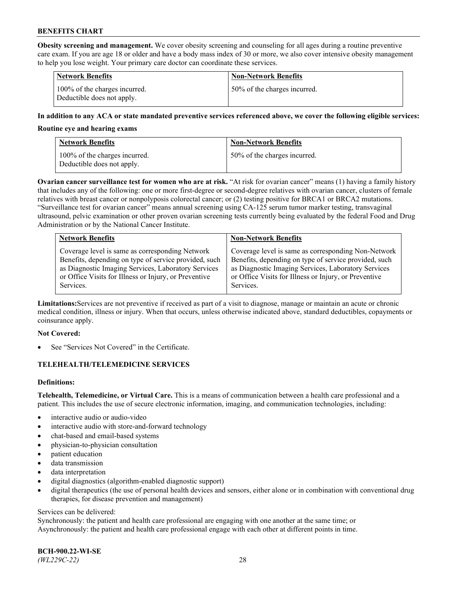**Obesity screening and management.** We cover obesity screening and counseling for all ages during a routine preventive care exam. If you are age 18 or older and have a body mass index of 30 or more, we also cover intensive obesity management to help you lose weight. Your primary care doctor can coordinate these services.

| <b>Network Benefits</b>                                     | <b>Non-Network Benefits</b>  |
|-------------------------------------------------------------|------------------------------|
| 100% of the charges incurred.<br>Deductible does not apply. | 50% of the charges incurred. |

### **In addition to any ACA or state mandated preventive services referenced above, we cover the following eligible services:**

#### **Routine eye and hearing exams**

| <b>Network Benefits</b>                                     | <b>Non-Network Benefits</b>  |
|-------------------------------------------------------------|------------------------------|
| 100% of the charges incurred.<br>Deductible does not apply. | 50% of the charges incurred. |

**Ovarian cancer surveillance test for women who are at risk.** "At risk for ovarian cancer" means (1) having a family history that includes any of the following: one or more first-degree or second-degree relatives with ovarian cancer, clusters of female relatives with breast cancer or nonpolyposis colorectal cancer; or (2) testing positive for BRCA1 or BRCA2 mutations. "Surveillance test for ovarian cancer" means annual screening using CA-125 serum tumor marker testing, transvaginal ultrasound, pelvic examination or other proven ovarian screening tests currently being evaluated by the federal Food and Drug Administration or by the National Cancer Institute.

| <b>Network Benefits</b>                               | <b>Non-Network Benefits</b>                           |
|-------------------------------------------------------|-------------------------------------------------------|
| Coverage level is same as corresponding Network       | Coverage level is same as corresponding Non-Network   |
| Benefits, depending on type of service provided, such | Benefits, depending on type of service provided, such |
| as Diagnostic Imaging Services, Laboratory Services   | as Diagnostic Imaging Services, Laboratory Services   |
| or Office Visits for Illness or Injury, or Preventive | or Office Visits for Illness or Injury, or Preventive |
| Services.                                             | Services.                                             |

**Limitations:**Services are not preventive if received as part of a visit to diagnose, manage or maintain an acute or chronic medical condition, illness or injury. When that occurs, unless otherwise indicated above, standard deductibles, copayments or coinsurance apply.

#### **Not Covered:**

See "Services Not Covered" in the Certificate.

## **TELEHEALTH/TELEMEDICINE SERVICES**

## **Definitions:**

**Telehealth, Telemedicine, or Virtual Care.** This is a means of communication between a health care professional and a patient. This includes the use of secure electronic information, imaging, and communication technologies, including:

- interactive audio or audio-video
- interactive audio with store-and-forward technology
- chat-based and email-based systems
- physician-to-physician consultation
- patient education
- data transmission
- data interpretation
- digital diagnostics (algorithm-enabled diagnostic support)
- digital therapeutics (the use of personal health devices and sensors, either alone or in combination with conventional drug therapies, for disease prevention and management)

#### Services can be delivered:

Synchronously: the patient and health care professional are engaging with one another at the same time; or Asynchronously: the patient and health care professional engage with each other at different points in time.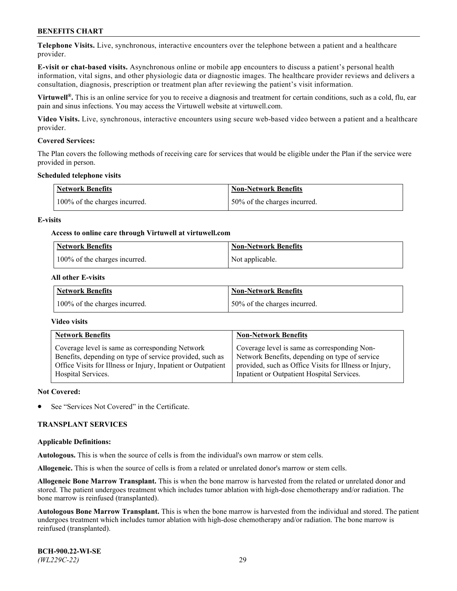**Telephone Visits.** Live, synchronous, interactive encounters over the telephone between a patient and a healthcare provider.

**E-visit or chat-based visits.** Asynchronous online or mobile app encounters to discuss a patient's personal health information, vital signs, and other physiologic data or diagnostic images. The healthcare provider reviews and delivers a consultation, diagnosis, prescription or treatment plan after reviewing the patient's visit information.

**Virtuwell®.** This is an online service for you to receive a diagnosis and treatment for certain conditions, such as a cold, flu, ear pain and sinus infections. You may access the Virtuwell website at [virtuwell.com.](https://www.virtuwell.com/)

**Video Visits.** Live, synchronous, interactive encounters using secure web-based video between a patient and a healthcare provider.

### **Covered Services:**

The Plan covers the following methods of receiving care for services that would be eligible under the Plan if the service were provided in person.

#### **Scheduled telephone visits**

| <b>Network Benefits</b>       | <b>Non-Network Benefits</b>  |
|-------------------------------|------------------------------|
| 100% of the charges incurred. | 50% of the charges incurred. |

### **E-visits**

### **Access to online care through Virtuwell at [virtuwell.com](https://www.virtuwell.com/)**

| <b>Network Benefits</b>       | <b>Non-Network Benefits</b> |
|-------------------------------|-----------------------------|
| 100% of the charges incurred. | Not applicable.             |

### **All other E-visits**

| <b>Network Benefits</b>       | <b>Non-Network Benefits</b>  |
|-------------------------------|------------------------------|
| 100% of the charges incurred. | 50% of the charges incurred. |

#### **Video visits**

| <b>Network Benefits</b>                                      | <b>Non-Network Benefits</b>                            |
|--------------------------------------------------------------|--------------------------------------------------------|
| Coverage level is same as corresponding Network              | Coverage level is same as corresponding Non-           |
| Benefits, depending on type of service provided, such as     | Network Benefits, depending on type of service         |
| Office Visits for Illness or Injury, Inpatient or Outpatient | provided, such as Office Visits for Illness or Injury, |
| Hospital Services.                                           | Inpatient or Outpatient Hospital Services.             |

#### **Not Covered:**

See "Services Not Covered" in the Certificate.

## **TRANSPLANT SERVICES**

#### **Applicable Definitions:**

**Autologous.** This is when the source of cells is from the individual's own marrow or stem cells.

**Allogeneic.** This is when the source of cells is from a related or unrelated donor's marrow or stem cells.

**Allogeneic Bone Marrow Transplant.** This is when the bone marrow is harvested from the related or unrelated donor and stored. The patient undergoes treatment which includes tumor ablation with high-dose chemotherapy and/or radiation. The bone marrow is reinfused (transplanted).

**Autologous Bone Marrow Transplant.** This is when the bone marrow is harvested from the individual and stored. The patient undergoes treatment which includes tumor ablation with high-dose chemotherapy and/or radiation. The bone marrow is reinfused (transplanted).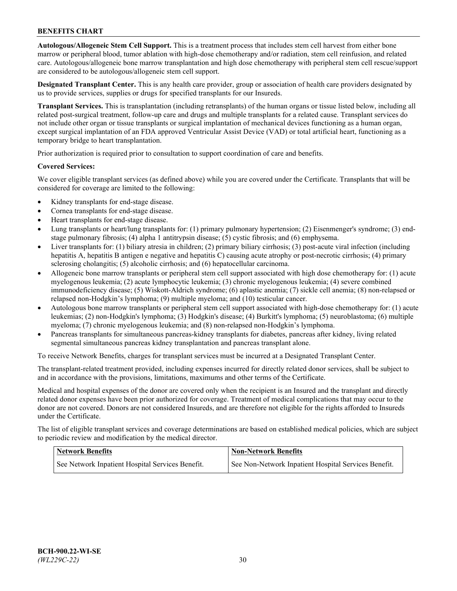**Autologous/Allogeneic Stem Cell Support.** This is a treatment process that includes stem cell harvest from either bone marrow or peripheral blood, tumor ablation with high-dose chemotherapy and/or radiation, stem cell reinfusion, and related care. Autologous/allogeneic bone marrow transplantation and high dose chemotherapy with peripheral stem cell rescue/support are considered to be autologous/allogeneic stem cell support.

**Designated Transplant Center.** This is any health care provider, group or association of health care providers designated by us to provide services, supplies or drugs for specified transplants for our Insureds.

**Transplant Services.** This is transplantation (including retransplants) of the human organs or tissue listed below, including all related post-surgical treatment, follow-up care and drugs and multiple transplants for a related cause. Transplant services do not include other organ or tissue transplants or surgical implantation of mechanical devices functioning as a human organ, except surgical implantation of an FDA approved Ventricular Assist Device (VAD) or total artificial heart, functioning as a temporary bridge to heart transplantation.

Prior authorization is required prior to consultation to support coordination of care and benefits.

### **Covered Services:**

We cover eligible transplant services (as defined above) while you are covered under the Certificate. Transplants that will be considered for coverage are limited to the following:

- Kidney transplants for end-stage disease.
- Cornea transplants for end-stage disease.
- Heart transplants for end-stage disease.
- Lung transplants or heart/lung transplants for: (1) primary pulmonary hypertension; (2) Eisenmenger's syndrome; (3) endstage pulmonary fibrosis; (4) alpha 1 antitrypsin disease; (5) cystic fibrosis; and (6) emphysema.
- Liver transplants for: (1) biliary atresia in children; (2) primary biliary cirrhosis; (3) post-acute viral infection (including hepatitis A, hepatitis B antigen e negative and hepatitis C) causing acute atrophy or post-necrotic cirrhosis; (4) primary sclerosing cholangitis; (5) alcoholic cirrhosis; and (6) hepatocellular carcinoma.
- Allogeneic bone marrow transplants or peripheral stem cell support associated with high dose chemotherapy for: (1) acute myelogenous leukemia; (2) acute lymphocytic leukemia; (3) chronic myelogenous leukemia; (4) severe combined immunodeficiency disease; (5) Wiskott-Aldrich syndrome; (6) aplastic anemia; (7) sickle cell anemia; (8) non-relapsed or relapsed non-Hodgkin's lymphoma; (9) multiple myeloma; and (10) testicular cancer.
- Autologous bone marrow transplants or peripheral stem cell support associated with high-dose chemotherapy for: (1) acute leukemias; (2) non-Hodgkin's lymphoma; (3) Hodgkin's disease; (4) Burkitt's lymphoma; (5) neuroblastoma; (6) multiple myeloma; (7) chronic myelogenous leukemia; and (8) non-relapsed non-Hodgkin's lymphoma.
- Pancreas transplants for simultaneous pancreas-kidney transplants for diabetes, pancreas after kidney, living related segmental simultaneous pancreas kidney transplantation and pancreas transplant alone.

To receive Network Benefits, charges for transplant services must be incurred at a Designated Transplant Center.

The transplant-related treatment provided, including expenses incurred for directly related donor services, shall be subject to and in accordance with the provisions, limitations, maximums and other terms of the Certificate.

Medical and hospital expenses of the donor are covered only when the recipient is an Insured and the transplant and directly related donor expenses have been prior authorized for coverage. Treatment of medical complications that may occur to the donor are not covered. Donors are not considered Insureds, and are therefore not eligible for the rights afforded to Insureds under the Certificate.

The list of eligible transplant services and coverage determinations are based on established medical policies, which are subject to periodic review and modification by the medical director.

| <b>Network Benefits</b>                          | <b>Non-Network Benefits</b>                          |
|--------------------------------------------------|------------------------------------------------------|
| See Network Inpatient Hospital Services Benefit. | See Non-Network Inpatient Hospital Services Benefit. |